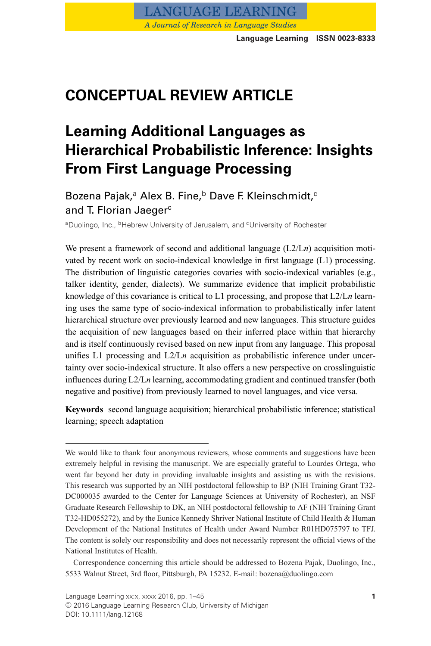# **CONCEPTUAL REVIEW ARTICLE**

# **Learning Additional Languages as Hierarchical Probabilistic Inference: Insights From First Language Processing**

Bozena Pajak,<sup>a</sup> Alex B. Fine,<sup>b</sup> Dave F. Kleinschmidt,<sup>c</sup> and T. Florian Jaeger<sup>c</sup>

<sup>a</sup>Duolingo, Inc., <sup>b</sup>Hebrew University of Jerusalem, and <sup>c</sup>University of Rochester

We present a framework of second and additional language (L2/L*n*) acquisition motivated by recent work on socio-indexical knowledge in first language (L1) processing. The distribution of linguistic categories covaries with socio-indexical variables (e.g., talker identity, gender, dialects). We summarize evidence that implicit probabilistic knowledge of this covariance is critical to L1 processing, and propose that L2/L*n* learning uses the same type of socio-indexical information to probabilistically infer latent hierarchical structure over previously learned and new languages. This structure guides the acquisition of new languages based on their inferred place within that hierarchy and is itself continuously revised based on new input from any language. This proposal unifies L1 processing and L2/L*n* acquisition as probabilistic inference under uncertainty over socio-indexical structure. It also offers a new perspective on crosslinguistic influences during L2/L*n* learning, accommodating gradient and continued transfer (both negative and positive) from previously learned to novel languages, and vice versa.

**Keywords** second language acquisition; hierarchical probabilistic inference; statistical learning; speech adaptation

We would like to thank four anonymous reviewers, whose comments and suggestions have been extremely helpful in revising the manuscript. We are especially grateful to Lourdes Ortega, who went far beyond her duty in providing invaluable insights and assisting us with the revisions. This research was supported by an NIH postdoctoral fellowship to BP (NIH Training Grant T32- DC000035 awarded to the Center for Language Sciences at University of Rochester), an NSF Graduate Research Fellowship to DK, an NIH postdoctoral fellowship to AF (NIH Training Grant T32-HD055272), and by the Eunice Kennedy Shriver National Institute of Child Health & Human Development of the National Institutes of Health under Award Number R01HD075797 to TFJ. The content is solely our responsibility and does not necessarily represent the official views of the National Institutes of Health.

Correspondence concerning this article should be addressed to Bozena Pajak, Duolingo, Inc., 5533 Walnut Street, 3rd floor, Pittsburgh, PA 15232. E-mail: bozena@duolingo.com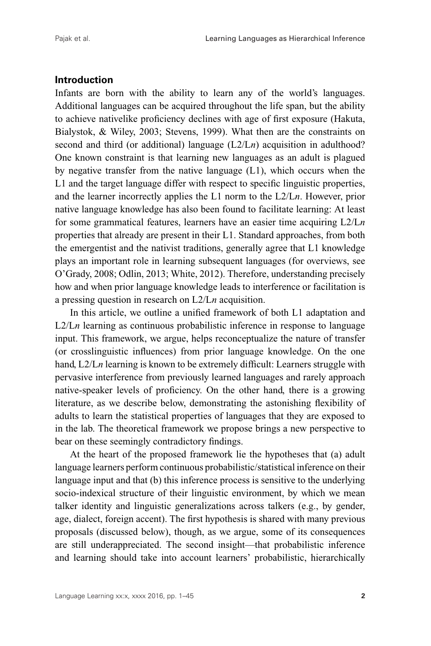### **Introduction**

Infants are born with the ability to learn any of the world's languages. Additional languages can be acquired throughout the life span, but the ability to achieve nativelike proficiency declines with age of first exposure (Hakuta, Bialystok, & Wiley, 2003; Stevens, 1999). What then are the constraints on second and third (or additional) language (L2/L*n*) acquisition in adulthood? One known constraint is that learning new languages as an adult is plagued by negative transfer from the native language (L1), which occurs when the L1 and the target language differ with respect to specific linguistic properties, and the learner incorrectly applies the L1 norm to the L2/L*n*. However, prior native language knowledge has also been found to facilitate learning: At least for some grammatical features, learners have an easier time acquiring L2/L*n* properties that already are present in their L1. Standard approaches, from both the emergentist and the nativist traditions, generally agree that L1 knowledge plays an important role in learning subsequent languages (for overviews, see O'Grady, 2008; Odlin, 2013; White, 2012). Therefore, understanding precisely how and when prior language knowledge leads to interference or facilitation is a pressing question in research on L2/L*n* acquisition.

In this article, we outline a unified framework of both L1 adaptation and L2/L*n* learning as continuous probabilistic inference in response to language input. This framework, we argue, helps reconceptualize the nature of transfer (or crosslinguistic influences) from prior language knowledge. On the one hand, L2/Ln learning is known to be extremely difficult: Learners struggle with pervasive interference from previously learned languages and rarely approach native-speaker levels of proficiency. On the other hand, there is a growing literature, as we describe below, demonstrating the astonishing flexibility of adults to learn the statistical properties of languages that they are exposed to in the lab. The theoretical framework we propose brings a new perspective to bear on these seemingly contradictory findings.

At the heart of the proposed framework lie the hypotheses that (a) adult language learners perform continuous probabilistic/statistical inference on their language input and that (b) this inference process is sensitive to the underlying socio-indexical structure of their linguistic environment, by which we mean talker identity and linguistic generalizations across talkers (e.g., by gender, age, dialect, foreign accent). The first hypothesis is shared with many previous proposals (discussed below), though, as we argue, some of its consequences are still underappreciated. The second insight—that probabilistic inference and learning should take into account learners' probabilistic, hierarchically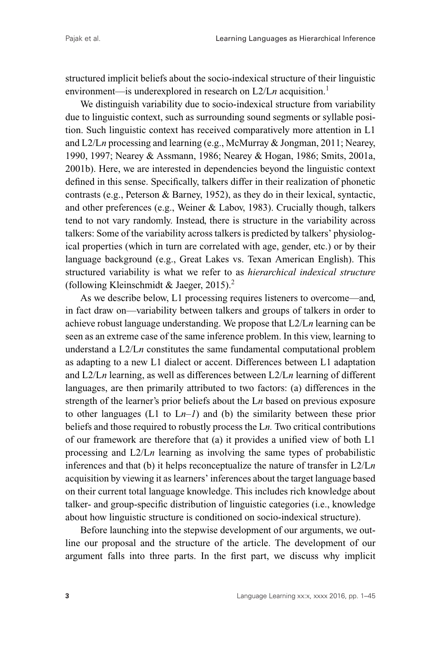structured implicit beliefs about the socio-indexical structure of their linguistic environment—is underexplored in research on L2/L*n* acquisition.<sup>1</sup>

We distinguish variability due to socio-indexical structure from variability due to linguistic context, such as surrounding sound segments or syllable position. Such linguistic context has received comparatively more attention in L1 and L2/L*n* processing and learning (e.g., McMurray & Jongman, 2011; Nearey, 1990, 1997; Nearey & Assmann, 1986; Nearey & Hogan, 1986; Smits, 2001a, 2001b). Here, we are interested in dependencies beyond the linguistic context defined in this sense. Specifically, talkers differ in their realization of phonetic contrasts (e.g., Peterson & Barney, 1952), as they do in their lexical, syntactic, and other preferences (e.g., Weiner & Labov, 1983). Crucially though, talkers tend to not vary randomly. Instead, there is structure in the variability across talkers: Some of the variability across talkers is predicted by talkers' physiological properties (which in turn are correlated with age, gender, etc.) or by their language background (e.g., Great Lakes vs. Texan American English). This structured variability is what we refer to as *hierarchical indexical structure* (following Kleinschmidt & Jaeger, 2015).<sup>2</sup>

As we describe below, L1 processing requires listeners to overcome—and, in fact draw on—variability between talkers and groups of talkers in order to achieve robust language understanding. We propose that L2/L*n* learning can be seen as an extreme case of the same inference problem. In this view, learning to understand a L2/L*n* constitutes the same fundamental computational problem as adapting to a new L1 dialect or accent. Differences between L1 adaptation and L2/L*n* learning, as well as differences between L2/L*n* learning of different languages, are then primarily attributed to two factors: (a) differences in the strength of the learner's prior beliefs about the L*n* based on previous exposure to other languages  $(L1$  to  $Ln-1$ ) and  $(b)$  the similarity between these prior beliefs and those required to robustly process the L*n.* Two critical contributions of our framework are therefore that (a) it provides a unified view of both L1 processing and L2/L*n* learning as involving the same types of probabilistic inferences and that (b) it helps reconceptualize the nature of transfer in L2/L*n* acquisition by viewing it as learners' inferences about the target language based on their current total language knowledge. This includes rich knowledge about talker- and group-specific distribution of linguistic categories (i.e., knowledge about how linguistic structure is conditioned on socio-indexical structure).

Before launching into the stepwise development of our arguments, we outline our proposal and the structure of the article. The development of our argument falls into three parts. In the first part, we discuss why implicit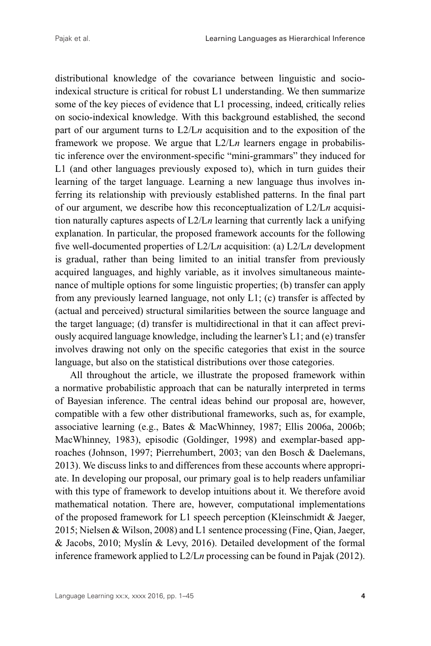distributional knowledge of the covariance between linguistic and socioindexical structure is critical for robust L1 understanding. We then summarize some of the key pieces of evidence that L1 processing, indeed, critically relies on socio-indexical knowledge. With this background established, the second part of our argument turns to L2/L*n* acquisition and to the exposition of the framework we propose. We argue that L2/L*n* learners engage in probabilistic inference over the environment-specific "mini-grammars" they induced for L1 (and other languages previously exposed to), which in turn guides their learning of the target language. Learning a new language thus involves inferring its relationship with previously established patterns. In the final part of our argument, we describe how this reconceptualization of L2/L*n* acquisition naturally captures aspects of L2/L*n* learning that currently lack a unifying explanation. In particular, the proposed framework accounts for the following five well-documented properties of L2/L*n* acquisition: (a) L2/L*n* development is gradual, rather than being limited to an initial transfer from previously acquired languages, and highly variable, as it involves simultaneous maintenance of multiple options for some linguistic properties; (b) transfer can apply from any previously learned language, not only L1; (c) transfer is affected by (actual and perceived) structural similarities between the source language and the target language; (d) transfer is multidirectional in that it can affect previously acquired language knowledge, including the learner's L1; and (e) transfer involves drawing not only on the specific categories that exist in the source language, but also on the statistical distributions over those categories.

All throughout the article, we illustrate the proposed framework within a normative probabilistic approach that can be naturally interpreted in terms of Bayesian inference. The central ideas behind our proposal are, however, compatible with a few other distributional frameworks, such as, for example, associative learning (e.g., Bates & MacWhinney, 1987; Ellis 2006a, 2006b; MacWhinney, 1983), episodic (Goldinger, 1998) and exemplar-based approaches (Johnson, 1997; Pierrehumbert, 2003; van den Bosch & Daelemans, 2013). We discuss links to and differences from these accounts where appropriate. In developing our proposal, our primary goal is to help readers unfamiliar with this type of framework to develop intuitions about it. We therefore avoid mathematical notation. There are, however, computational implementations of the proposed framework for L1 speech perception (Kleinschmidt & Jaeger, 2015; Nielsen & Wilson, 2008) and L1 sentence processing (Fine, Qian, Jaeger,  $& Jacobs, 2010; Myslín & Levy, 2016)$ . Detailed development of the formal inference framework applied to L2/L*n* processing can be found in Pajak (2012).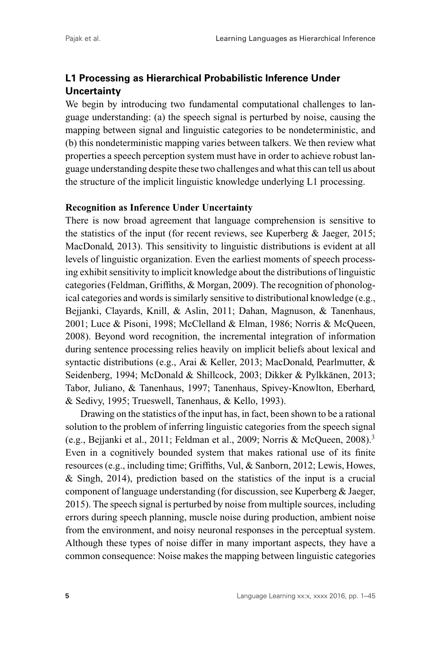# **L1 Processing as Hierarchical Probabilistic Inference Under Uncertainty**

We begin by introducing two fundamental computational challenges to language understanding: (a) the speech signal is perturbed by noise, causing the mapping between signal and linguistic categories to be nondeterministic, and (b) this nondeterministic mapping varies between talkers. We then review what properties a speech perception system must have in order to achieve robust language understanding despite these two challenges and what this can tell us about the structure of the implicit linguistic knowledge underlying L1 processing.

# **Recognition as Inference Under Uncertainty**

There is now broad agreement that language comprehension is sensitive to the statistics of the input (for recent reviews, see Kuperberg & Jaeger, 2015; MacDonald, 2013). This sensitivity to linguistic distributions is evident at all levels of linguistic organization. Even the earliest moments of speech processing exhibit sensitivity to implicit knowledge about the distributions of linguistic categories (Feldman, Griffiths, & Morgan, 2009). The recognition of phonological categories and words is similarly sensitive to distributional knowledge (e.g., Bejjanki, Clayards, Knill, & Aslin, 2011; Dahan, Magnuson, & Tanenhaus, 2001; Luce & Pisoni, 1998; McClelland & Elman, 1986; Norris & McQueen, 2008). Beyond word recognition, the incremental integration of information during sentence processing relies heavily on implicit beliefs about lexical and syntactic distributions (e.g., Arai & Keller, 2013; MacDonald, Pearlmutter, & Seidenberg, 1994; McDonald & Shillcock, 2003; Dikker & Pylkkänen, 2013; Tabor, Juliano, & Tanenhaus, 1997; Tanenhaus, Spivey-Knowlton, Eberhard, & Sedivy, 1995; Trueswell, Tanenhaus, & Kello, 1993).

Drawing on the statistics of the input has, in fact, been shown to be a rational solution to the problem of inferring linguistic categories from the speech signal (e.g., Bejjanki et al., 2011; Feldman et al., 2009; Norris & McQueen, 2008).3 Even in a cognitively bounded system that makes rational use of its finite resources (e.g., including time; Griffiths, Vul, & Sanborn, 2012; Lewis, Howes, & Singh, 2014), prediction based on the statistics of the input is a crucial component of language understanding (for discussion, see Kuperberg & Jaeger, 2015). The speech signal is perturbed by noise from multiple sources, including errors during speech planning, muscle noise during production, ambient noise from the environment, and noisy neuronal responses in the perceptual system. Although these types of noise differ in many important aspects, they have a common consequence: Noise makes the mapping between linguistic categories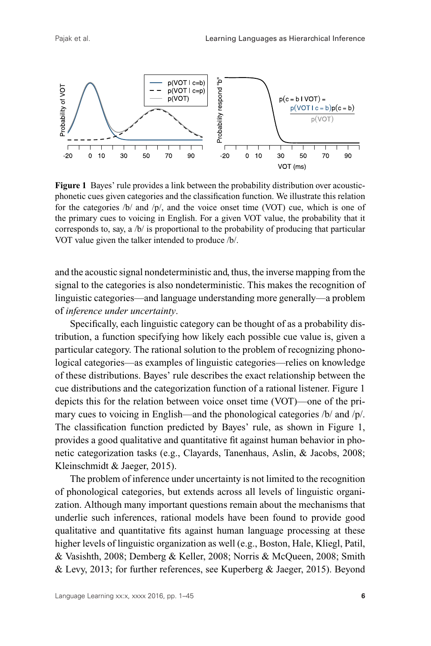

**Figure 1** Bayes' rule provides a link between the probability distribution over acousticphonetic cues given categories and the classification function. We illustrate this relation for the categories  $/b/$  and  $/p/$ , and the voice onset time (VOT) cue, which is one of the primary cues to voicing in English. For a given VOT value, the probability that it corresponds to, say, a /b/ is proportional to the probability of producing that particular VOT value given the talker intended to produce /b/.

and the acoustic signal nondeterministic and, thus, the inverse mapping from the signal to the categories is also nondeterministic. This makes the recognition of linguistic categories—and language understanding more generally—a problem of *inference under uncertainty*.

Specifically, each linguistic category can be thought of as a probability distribution, a function specifying how likely each possible cue value is, given a particular category. The rational solution to the problem of recognizing phonological categories—as examples of linguistic categories—relies on knowledge of these distributions. Bayes' rule describes the exact relationship between the cue distributions and the categorization function of a rational listener. Figure 1 depicts this for the relation between voice onset time (VOT)—one of the primary cues to voicing in English—and the phonological categories /b/ and /p/. The classification function predicted by Bayes' rule, as shown in Figure 1, provides a good qualitative and quantitative fit against human behavior in phonetic categorization tasks (e.g., Clayards, Tanenhaus, Aslin, & Jacobs, 2008; Kleinschmidt & Jaeger, 2015).

The problem of inference under uncertainty is not limited to the recognition of phonological categories, but extends across all levels of linguistic organization. Although many important questions remain about the mechanisms that underlie such inferences, rational models have been found to provide good qualitative and quantitative fits against human language processing at these higher levels of linguistic organization as well (e.g., Boston, Hale, Kliegl, Patil, & Vasishth, 2008; Demberg & Keller, 2008; Norris & McQueen, 2008; Smith & Levy, 2013; for further references, see Kuperberg & Jaeger, 2015). Beyond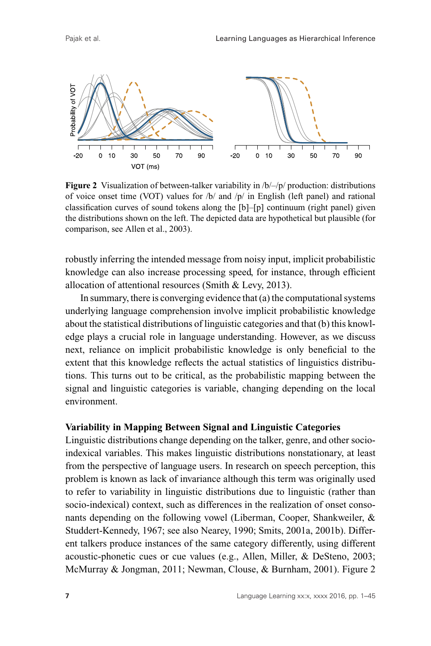

**Figure 2** Visualization of between-talker variability in  $/b/-/p/$  production: distributions of voice onset time (VOT) values for /b/ and /p/ in English (left panel) and rational classification curves of sound tokens along the [b]–[p] continuum (right panel) given the distributions shown on the left. The depicted data are hypothetical but plausible (for comparison, see Allen et al., 2003).

robustly inferring the intended message from noisy input, implicit probabilistic knowledge can also increase processing speed, for instance, through efficient allocation of attentional resources (Smith & Levy, 2013).

In summary, there is converging evidence that (a) the computational systems underlying language comprehension involve implicit probabilistic knowledge about the statistical distributions of linguistic categories and that (b) this knowledge plays a crucial role in language understanding. However, as we discuss next, reliance on implicit probabilistic knowledge is only beneficial to the extent that this knowledge reflects the actual statistics of linguistics distributions. This turns out to be critical, as the probabilistic mapping between the signal and linguistic categories is variable, changing depending on the local environment.

#### **Variability in Mapping Between Signal and Linguistic Categories**

Linguistic distributions change depending on the talker, genre, and other socioindexical variables. This makes linguistic distributions nonstationary, at least from the perspective of language users. In research on speech perception, this problem is known as lack of invariance although this term was originally used to refer to variability in linguistic distributions due to linguistic (rather than socio-indexical) context, such as differences in the realization of onset consonants depending on the following vowel (Liberman, Cooper, Shankweiler, & Studdert-Kennedy, 1967; see also Nearey, 1990; Smits, 2001a, 2001b). Different talkers produce instances of the same category differently, using different acoustic-phonetic cues or cue values (e.g., Allen, Miller, & DeSteno, 2003; McMurray & Jongman, 2011; Newman, Clouse, & Burnham, 2001). Figure 2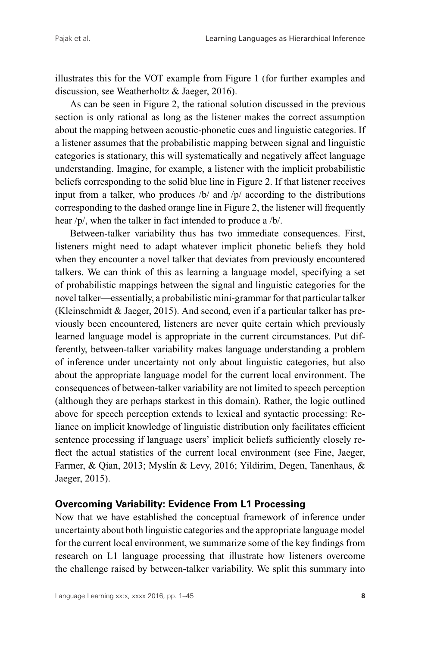illustrates this for the VOT example from Figure 1 (for further examples and discussion, see Weatherholtz & Jaeger, 2016).

As can be seen in Figure 2, the rational solution discussed in the previous section is only rational as long as the listener makes the correct assumption about the mapping between acoustic-phonetic cues and linguistic categories. If a listener assumes that the probabilistic mapping between signal and linguistic categories is stationary, this will systematically and negatively affect language understanding. Imagine, for example, a listener with the implicit probabilistic beliefs corresponding to the solid blue line in Figure 2. If that listener receives input from a talker, who produces  $/b/$  and  $/p/$  according to the distributions corresponding to the dashed orange line in Figure 2, the listener will frequently hear  $/p/$ , when the talker in fact intended to produce a  $/b/$ .

Between-talker variability thus has two immediate consequences. First, listeners might need to adapt whatever implicit phonetic beliefs they hold when they encounter a novel talker that deviates from previously encountered talkers. We can think of this as learning a language model, specifying a set of probabilistic mappings between the signal and linguistic categories for the novel talker—essentially, a probabilistic mini-grammar for that particular talker (Kleinschmidt & Jaeger, 2015). And second, even if a particular talker has previously been encountered, listeners are never quite certain which previously learned language model is appropriate in the current circumstances. Put differently, between-talker variability makes language understanding a problem of inference under uncertainty not only about linguistic categories, but also about the appropriate language model for the current local environment. The consequences of between-talker variability are not limited to speech perception (although they are perhaps starkest in this domain). Rather, the logic outlined above for speech perception extends to lexical and syntactic processing: Reliance on implicit knowledge of linguistic distribution only facilitates efficient sentence processing if language users' implicit beliefs sufficiently closely reflect the actual statistics of the current local environment (see Fine, Jaeger, Farmer, & Qian, 2013; Myslín & Levy, 2016; Yildirim, Degen, Tanenhaus, & Jaeger, 2015).

# **Overcoming Variability: Evidence From L1 Processing**

Now that we have established the conceptual framework of inference under uncertainty about both linguistic categories and the appropriate language model for the current local environment, we summarize some of the key findings from research on L1 language processing that illustrate how listeners overcome the challenge raised by between-talker variability. We split this summary into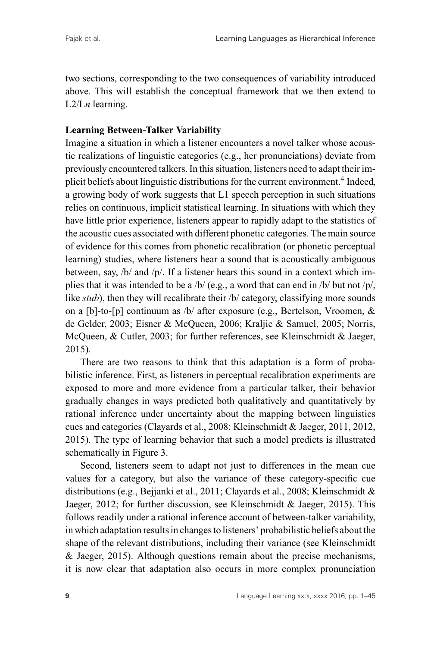two sections, corresponding to the two consequences of variability introduced above. This will establish the conceptual framework that we then extend to L2/L*n* learning.

## **Learning Between-Talker Variability**

Imagine a situation in which a listener encounters a novel talker whose acoustic realizations of linguistic categories (e.g., her pronunciations) deviate from previously encountered talkers. In this situation, listeners need to adapt their implicit beliefs about linguistic distributions for the current environment.<sup>4</sup> Indeed, a growing body of work suggests that L1 speech perception in such situations relies on continuous, implicit statistical learning. In situations with which they have little prior experience, listeners appear to rapidly adapt to the statistics of the acoustic cues associated with different phonetic categories. The main source of evidence for this comes from phonetic recalibration (or phonetic perceptual learning) studies, where listeners hear a sound that is acoustically ambiguous between, say, /b/ and /p/. If a listener hears this sound in a context which implies that it was intended to be a /b/ (e.g., a word that can end in /b/ but not /p/, like *stub*), then they will recalibrate their /b/ category, classifying more sounds on a [b]-to-[p] continuum as /b/ after exposure (e.g., Bertelson, Vroomen, & de Gelder, 2003; Eisner & McQueen, 2006; Kraljic & Samuel, 2005; Norris, McQueen, & Cutler, 2003; for further references, see Kleinschmidt & Jaeger, 2015).

There are two reasons to think that this adaptation is a form of probabilistic inference. First, as listeners in perceptual recalibration experiments are exposed to more and more evidence from a particular talker, their behavior gradually changes in ways predicted both qualitatively and quantitatively by rational inference under uncertainty about the mapping between linguistics cues and categories (Clayards et al., 2008; Kleinschmidt & Jaeger, 2011, 2012, 2015). The type of learning behavior that such a model predicts is illustrated schematically in Figure 3.

Second, listeners seem to adapt not just to differences in the mean cue values for a category, but also the variance of these category-specific cue distributions (e.g., Bejjanki et al., 2011; Clayards et al., 2008; Kleinschmidt & Jaeger, 2012; for further discussion, see Kleinschmidt & Jaeger, 2015). This follows readily under a rational inference account of between-talker variability, in which adaptation results in changes to listeners' probabilistic beliefs about the shape of the relevant distributions, including their variance (see Kleinschmidt & Jaeger, 2015). Although questions remain about the precise mechanisms, it is now clear that adaptation also occurs in more complex pronunciation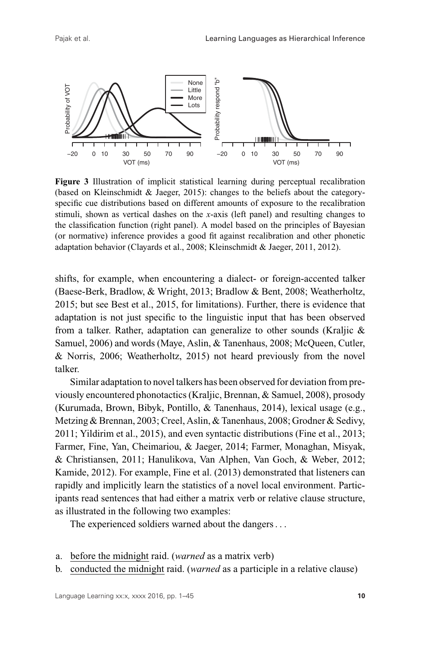

**Figure 3** Illustration of implicit statistical learning during perceptual recalibration (based on Kleinschmidt & Jaeger, 2015): changes to the beliefs about the categoryspecific cue distributions based on different amounts of exposure to the recalibration stimuli, shown as vertical dashes on the *x*-axis (left panel) and resulting changes to the classification function (right panel). A model based on the principles of Bayesian (or normative) inference provides a good fit against recalibration and other phonetic adaptation behavior (Clayards et al., 2008; Kleinschmidt & Jaeger, 2011, 2012).

shifts, for example, when encountering a dialect- or foreign-accented talker (Baese-Berk, Bradlow, & Wright, 2013; Bradlow & Bent, 2008; Weatherholtz, 2015; but see Best et al., 2015, for limitations). Further, there is evidence that adaptation is not just specific to the linguistic input that has been observed from a talker. Rather, adaptation can generalize to other sounds (Kraljic & Samuel, 2006) and words (Maye, Aslin, & Tanenhaus, 2008; McQueen, Cutler, & Norris, 2006; Weatherholtz, 2015) not heard previously from the novel talker.

Similar adaptation to novel talkers has been observed for deviation from previously encountered phonotactics (Kraljic, Brennan, & Samuel, 2008), prosody (Kurumada, Brown, Bibyk, Pontillo, & Tanenhaus, 2014), lexical usage (e.g., Metzing & Brennan, 2003; Creel, Aslin, & Tanenhaus, 2008; Grodner & Sedivy, 2011; Yildirim et al., 2015), and even syntactic distributions (Fine et al., 2013; Farmer, Fine, Yan, Cheimariou, & Jaeger, 2014; Farmer, Monaghan, Misyak, & Christiansen, 2011; Hanulikova, Van Alphen, Van Goch, & Weber, 2012; Kamide, 2012). For example, Fine et al. (2013) demonstrated that listeners can rapidly and implicitly learn the statistics of a novel local environment. Participants read sentences that had either a matrix verb or relative clause structure, as illustrated in the following two examples:

The experienced soldiers warned about the dangers . . .

- a. before the midnight raid. (*warned* as a matrix verb)
- b. conducted the midnight raid. (*warned* as a participle in a relative clause)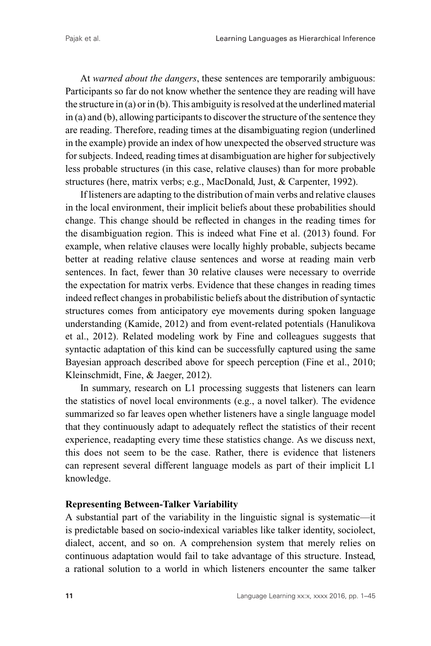At *warned about the dangers*, these sentences are temporarily ambiguous: Participants so far do not know whether the sentence they are reading will have the structure in (a) or in (b). This ambiguity is resolved at the underlined material in (a) and (b), allowing participants to discover the structure of the sentence they are reading. Therefore, reading times at the disambiguating region (underlined in the example) provide an index of how unexpected the observed structure was for subjects. Indeed, reading times at disambiguation are higher for subjectively less probable structures (in this case, relative clauses) than for more probable structures (here, matrix verbs; e.g., MacDonald, Just, & Carpenter, 1992).

If listeners are adapting to the distribution of main verbs and relative clauses in the local environment, their implicit beliefs about these probabilities should change. This change should be reflected in changes in the reading times for the disambiguation region. This is indeed what Fine et al. (2013) found. For example, when relative clauses were locally highly probable, subjects became better at reading relative clause sentences and worse at reading main verb sentences. In fact, fewer than 30 relative clauses were necessary to override the expectation for matrix verbs. Evidence that these changes in reading times indeed reflect changes in probabilistic beliefs about the distribution of syntactic structures comes from anticipatory eye movements during spoken language understanding (Kamide, 2012) and from event-related potentials (Hanulikova et al., 2012). Related modeling work by Fine and colleagues suggests that syntactic adaptation of this kind can be successfully captured using the same Bayesian approach described above for speech perception (Fine et al., 2010; Kleinschmidt, Fine, & Jaeger, 2012).

In summary, research on L1 processing suggests that listeners can learn the statistics of novel local environments (e.g., a novel talker). The evidence summarized so far leaves open whether listeners have a single language model that they continuously adapt to adequately reflect the statistics of their recent experience, readapting every time these statistics change. As we discuss next, this does not seem to be the case. Rather, there is evidence that listeners can represent several different language models as part of their implicit L1 knowledge.

#### **Representing Between-Talker Variability**

A substantial part of the variability in the linguistic signal is systematic—it is predictable based on socio-indexical variables like talker identity, sociolect, dialect, accent, and so on. A comprehension system that merely relies on continuous adaptation would fail to take advantage of this structure. Instead, a rational solution to a world in which listeners encounter the same talker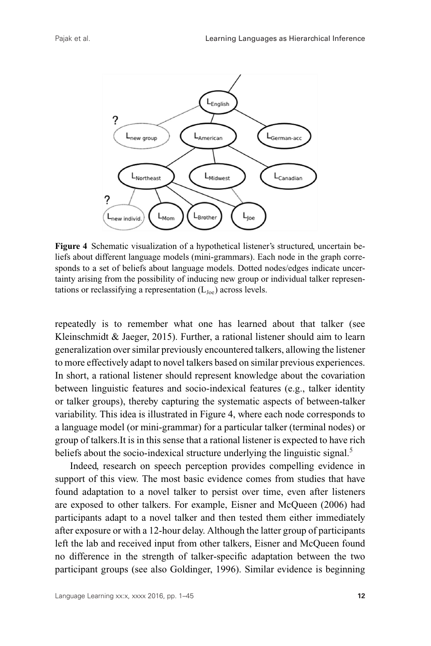

**Figure 4** Schematic visualization of a hypothetical listener's structured, uncertain beliefs about different language models (mini-grammars). Each node in the graph corresponds to a set of beliefs about language models. Dotted nodes/edges indicate uncertainty arising from the possibility of inducing new group or individual talker representations or reclassifying a representation  $(L<sub>Joe</sub>)$  across levels.

repeatedly is to remember what one has learned about that talker (see Kleinschmidt & Jaeger, 2015). Further, a rational listener should aim to learn generalization over similar previously encountered talkers, allowing the listener to more effectively adapt to novel talkers based on similar previous experiences. In short, a rational listener should represent knowledge about the covariation between linguistic features and socio-indexical features (e.g., talker identity or talker groups), thereby capturing the systematic aspects of between-talker variability. This idea is illustrated in Figure 4, where each node corresponds to a language model (or mini-grammar) for a particular talker (terminal nodes) or group of talkers.It is in this sense that a rational listener is expected to have rich beliefs about the socio-indexical structure underlying the linguistic signal.<sup>5</sup>

Indeed, research on speech perception provides compelling evidence in support of this view. The most basic evidence comes from studies that have found adaptation to a novel talker to persist over time, even after listeners are exposed to other talkers. For example, Eisner and McQueen (2006) had participants adapt to a novel talker and then tested them either immediately after exposure or with a 12-hour delay. Although the latter group of participants left the lab and received input from other talkers, Eisner and McQueen found no difference in the strength of talker-specific adaptation between the two participant groups (see also Goldinger, 1996). Similar evidence is beginning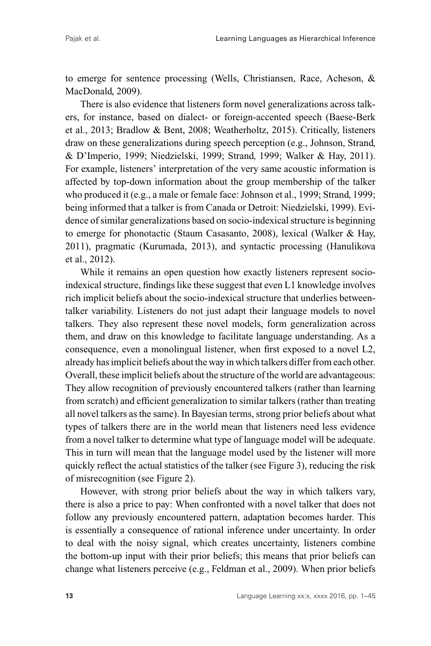to emerge for sentence processing (Wells, Christiansen, Race, Acheson, & MacDonald, 2009).

There is also evidence that listeners form novel generalizations across talkers, for instance, based on dialect- or foreign-accented speech (Baese-Berk et al., 2013; Bradlow & Bent, 2008; Weatherholtz, 2015). Critically, listeners draw on these generalizations during speech perception (e.g., Johnson, Strand, & D'Imperio, 1999; Niedzielski, 1999; Strand, 1999; Walker & Hay, 2011). For example, listeners' interpretation of the very same acoustic information is affected by top-down information about the group membership of the talker who produced it (e.g., a male or female face: Johnson et al., 1999; Strand, 1999; being informed that a talker is from Canada or Detroit: Niedzielski, 1999). Evidence of similar generalizations based on socio-indexical structure is beginning to emerge for phonotactic (Staum Casasanto, 2008), lexical (Walker & Hay, 2011), pragmatic (Kurumada, 2013), and syntactic processing (Hanulikova et al., 2012).

While it remains an open question how exactly listeners represent socioindexical structure, findings like these suggest that even L1 knowledge involves rich implicit beliefs about the socio-indexical structure that underlies betweentalker variability. Listeners do not just adapt their language models to novel talkers. They also represent these novel models, form generalization across them, and draw on this knowledge to facilitate language understanding. As a consequence, even a monolingual listener, when first exposed to a novel L2, already has implicit beliefs about the way in which talkers differ from each other. Overall, these implicit beliefs about the structure of the world are advantageous: They allow recognition of previously encountered talkers (rather than learning from scratch) and efficient generalization to similar talkers (rather than treating all novel talkers as the same). In Bayesian terms, strong prior beliefs about what types of talkers there are in the world mean that listeners need less evidence from a novel talker to determine what type of language model will be adequate. This in turn will mean that the language model used by the listener will more quickly reflect the actual statistics of the talker (see Figure 3), reducing the risk of misrecognition (see Figure 2).

However, with strong prior beliefs about the way in which talkers vary, there is also a price to pay: When confronted with a novel talker that does not follow any previously encountered pattern, adaptation becomes harder. This is essentially a consequence of rational inference under uncertainty. In order to deal with the noisy signal, which creates uncertainty, listeners combine the bottom-up input with their prior beliefs; this means that prior beliefs can change what listeners perceive (e.g., Feldman et al., 2009). When prior beliefs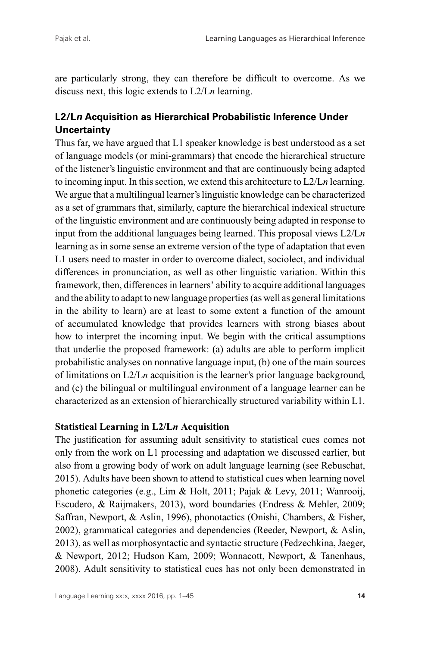are particularly strong, they can therefore be difficult to overcome. As we discuss next, this logic extends to L2/L*n* learning.

# **L2/L<sup>n</sup> Acquisition as Hierarchical Probabilistic Inference Under Uncertainty**

Thus far, we have argued that L1 speaker knowledge is best understood as a set of language models (or mini-grammars) that encode the hierarchical structure of the listener's linguistic environment and that are continuously being adapted to incoming input. In this section, we extend this architecture to L2/L*n* learning. We argue that a multilingual learner's linguistic knowledge can be characterized as a set of grammars that, similarly, capture the hierarchical indexical structure of the linguistic environment and are continuously being adapted in response to input from the additional languages being learned. This proposal views L2/L*n* learning as in some sense an extreme version of the type of adaptation that even L1 users need to master in order to overcome dialect, sociolect, and individual differences in pronunciation, as well as other linguistic variation. Within this framework, then, differences in learners' ability to acquire additional languages and the ability to adapt to new language properties (as well as general limitations in the ability to learn) are at least to some extent a function of the amount of accumulated knowledge that provides learners with strong biases about how to interpret the incoming input. We begin with the critical assumptions that underlie the proposed framework: (a) adults are able to perform implicit probabilistic analyses on nonnative language input, (b) one of the main sources of limitations on L2/L*n* acquisition is the learner's prior language background, and (c) the bilingual or multilingual environment of a language learner can be characterized as an extension of hierarchically structured variability within L1.

# **Statistical Learning in L2/L***n* **Acquisition**

The justification for assuming adult sensitivity to statistical cues comes not only from the work on L1 processing and adaptation we discussed earlier, but also from a growing body of work on adult language learning (see Rebuschat, 2015). Adults have been shown to attend to statistical cues when learning novel phonetic categories (e.g., Lim & Holt, 2011; Pajak & Levy, 2011; Wanrooij, Escudero, & Raijmakers, 2013), word boundaries (Endress & Mehler, 2009; Saffran, Newport, & Aslin, 1996), phonotactics (Onishi, Chambers, & Fisher, 2002), grammatical categories and dependencies (Reeder, Newport, & Aslin, 2013), as well as morphosyntactic and syntactic structure (Fedzechkina, Jaeger, & Newport, 2012; Hudson Kam, 2009; Wonnacott, Newport, & Tanenhaus, 2008). Adult sensitivity to statistical cues has not only been demonstrated in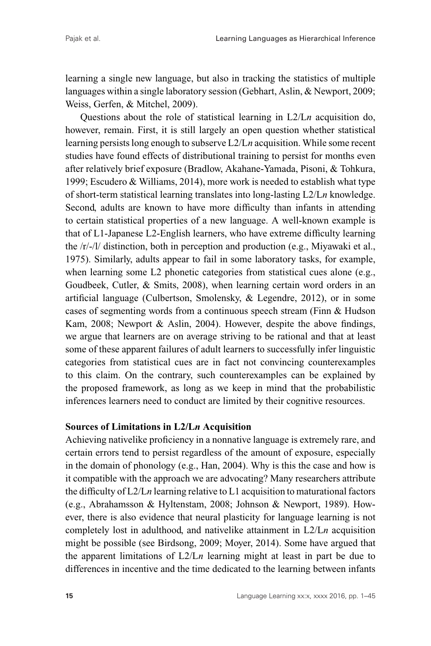learning a single new language, but also in tracking the statistics of multiple languages within a single laboratory session (Gebhart, Aslin, & Newport, 2009; Weiss, Gerfen, & Mitchel, 2009).

Questions about the role of statistical learning in L2/L*n* acquisition do, however, remain. First, it is still largely an open question whether statistical learning persists long enough to subserve L2/L*n* acquisition. While some recent studies have found effects of distributional training to persist for months even after relatively brief exposure (Bradlow, Akahane-Yamada, Pisoni, & Tohkura, 1999; Escudero & Williams, 2014), more work is needed to establish what type of short-term statistical learning translates into long-lasting L2/L*n* knowledge. Second, adults are known to have more difficulty than infants in attending to certain statistical properties of a new language. A well-known example is that of L1-Japanese L2-English learners, who have extreme difficulty learning the /r/-/l/ distinction, both in perception and production (e.g., Miyawaki et al., 1975). Similarly, adults appear to fail in some laboratory tasks, for example, when learning some L2 phonetic categories from statistical cues alone (e.g., Goudbeek, Cutler, & Smits, 2008), when learning certain word orders in an artificial language (Culbertson, Smolensky, & Legendre, 2012), or in some cases of segmenting words from a continuous speech stream (Finn & Hudson Kam, 2008; Newport & Aslin, 2004). However, despite the above findings, we argue that learners are on average striving to be rational and that at least some of these apparent failures of adult learners to successfully infer linguistic categories from statistical cues are in fact not convincing counterexamples to this claim. On the contrary, such counterexamples can be explained by the proposed framework, as long as we keep in mind that the probabilistic inferences learners need to conduct are limited by their cognitive resources.

#### **Sources of Limitations in L2/L***n* **Acquisition**

Achieving nativelike proficiency in a nonnative language is extremely rare, and certain errors tend to persist regardless of the amount of exposure, especially in the domain of phonology (e.g., Han, 2004). Why is this the case and how is it compatible with the approach we are advocating? Many researchers attribute the difficulty of L2/L*n* learning relative to L1 acquisition to maturational factors (e.g., Abrahamsson & Hyltenstam, 2008; Johnson & Newport, 1989). However, there is also evidence that neural plasticity for language learning is not completely lost in adulthood, and nativelike attainment in L2/L*n* acquisition might be possible (see Birdsong, 2009; Moyer, 2014). Some have argued that the apparent limitations of L2/L*n* learning might at least in part be due to differences in incentive and the time dedicated to the learning between infants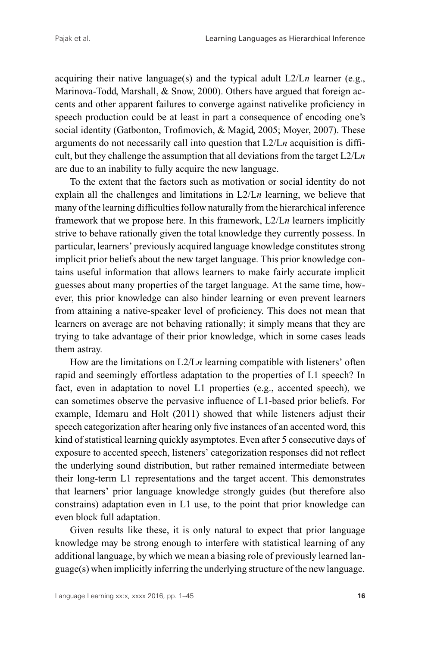acquiring their native language(s) and the typical adult  $L/2/Ln$  learner (e.g., Marinova-Todd, Marshall, & Snow, 2000). Others have argued that foreign accents and other apparent failures to converge against nativelike proficiency in speech production could be at least in part a consequence of encoding one's social identity (Gatbonton, Trofimovich, & Magid, 2005; Moyer, 2007). These arguments do not necessarily call into question that L2/L*n* acquisition is difficult, but they challenge the assumption that all deviations from the target L2/L*n* are due to an inability to fully acquire the new language.

To the extent that the factors such as motivation or social identity do not explain all the challenges and limitations in L2/L*n* learning, we believe that many of the learning difficulties follow naturally from the hierarchical inference framework that we propose here. In this framework, L2/L*n* learners implicitly strive to behave rationally given the total knowledge they currently possess. In particular, learners' previously acquired language knowledge constitutes strong implicit prior beliefs about the new target language. This prior knowledge contains useful information that allows learners to make fairly accurate implicit guesses about many properties of the target language. At the same time, however, this prior knowledge can also hinder learning or even prevent learners from attaining a native-speaker level of proficiency. This does not mean that learners on average are not behaving rationally; it simply means that they are trying to take advantage of their prior knowledge, which in some cases leads them astray.

How are the limitations on L2/L*n* learning compatible with listeners' often rapid and seemingly effortless adaptation to the properties of L1 speech? In fact, even in adaptation to novel L1 properties (e.g., accented speech), we can sometimes observe the pervasive influence of L1-based prior beliefs. For example, Idemaru and Holt (2011) showed that while listeners adjust their speech categorization after hearing only five instances of an accented word, this kind of statistical learning quickly asymptotes. Even after 5 consecutive days of exposure to accented speech, listeners' categorization responses did not reflect the underlying sound distribution, but rather remained intermediate between their long-term L1 representations and the target accent. This demonstrates that learners' prior language knowledge strongly guides (but therefore also constrains) adaptation even in L1 use, to the point that prior knowledge can even block full adaptation.

Given results like these, it is only natural to expect that prior language knowledge may be strong enough to interfere with statistical learning of any additional language, by which we mean a biasing role of previously learned language(s) when implicitly inferring the underlying structure of the new language.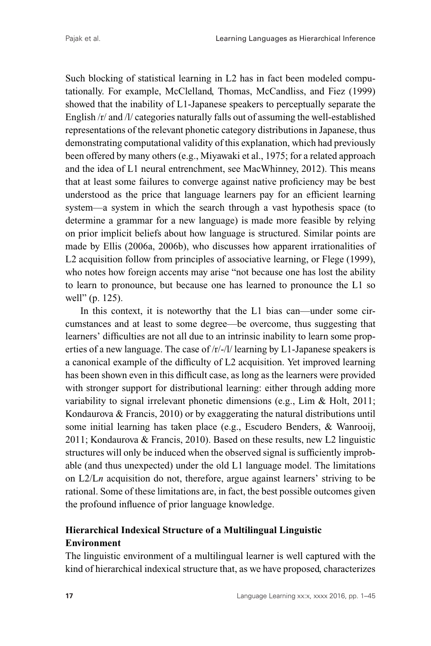Such blocking of statistical learning in L2 has in fact been modeled computationally. For example, McClelland, Thomas, McCandliss, and Fiez (1999) showed that the inability of L1-Japanese speakers to perceptually separate the English /r/ and /l/ categories naturally falls out of assuming the well-established representations of the relevant phonetic category distributions in Japanese, thus demonstrating computational validity of this explanation, which had previously been offered by many others (e.g., Miyawaki et al., 1975; for a related approach and the idea of L1 neural entrenchment, see MacWhinney, 2012). This means that at least some failures to converge against native proficiency may be best understood as the price that language learners pay for an efficient learning system—a system in which the search through a vast hypothesis space (to determine a grammar for a new language) is made more feasible by relying on prior implicit beliefs about how language is structured. Similar points are made by Ellis (2006a, 2006b), who discusses how apparent irrationalities of L2 acquisition follow from principles of associative learning, or Flege (1999), who notes how foreign accents may arise "not because one has lost the ability to learn to pronounce, but because one has learned to pronounce the L1 so well" (p. 125).

In this context, it is noteworthy that the L1 bias can—under some circumstances and at least to some degree—be overcome, thus suggesting that learners' difficulties are not all due to an intrinsic inability to learn some properties of a new language. The case of /r/-/l/ learning by L1-Japanese speakers is a canonical example of the difficulty of L2 acquisition. Yet improved learning has been shown even in this difficult case, as long as the learners were provided with stronger support for distributional learning: either through adding more variability to signal irrelevant phonetic dimensions (e.g., Lim & Holt, 2011; Kondaurova & Francis, 2010) or by exaggerating the natural distributions until some initial learning has taken place (e.g., Escudero Benders, & Wanrooij, 2011; Kondaurova & Francis, 2010). Based on these results, new L2 linguistic structures will only be induced when the observed signal is sufficiently improbable (and thus unexpected) under the old L1 language model. The limitations on L2/L*n* acquisition do not, therefore, argue against learners' striving to be rational. Some of these limitations are, in fact, the best possible outcomes given the profound influence of prior language knowledge.

# **Hierarchical Indexical Structure of a Multilingual Linguistic Environment**

The linguistic environment of a multilingual learner is well captured with the kind of hierarchical indexical structure that, as we have proposed, characterizes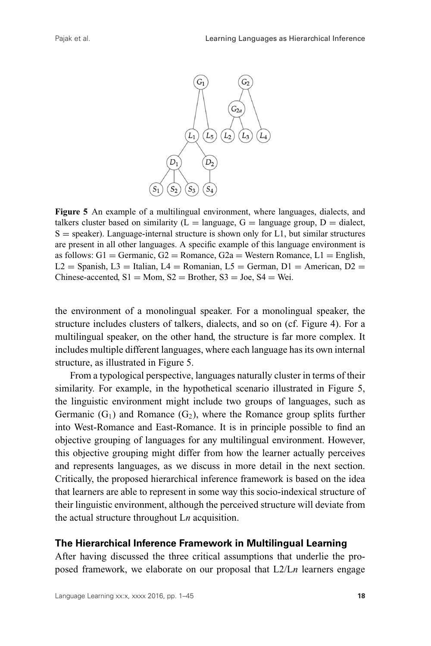

**Figure 5** An example of a multilingual environment, where languages, dialects, and talkers cluster based on similarity ( $L =$  language,  $G =$  language group,  $D =$  dialect,  $S =$  speaker). Language-internal structure is shown only for L1, but similar structures are present in all other languages. A specific example of this language environment is as follows: G1 = Germanic, G2 = Romance, G2a = Western Romance, L1 = English,  $L2 =$  Spanish,  $L3 =$  Italian,  $L4 =$  Romanian,  $L5 =$  German,  $D1 =$  American,  $D2 =$ Chinese-accented,  $S1 =$  Mom,  $S2 =$  Brother,  $S3 =$  Joe,  $S4 =$  Wei.

the environment of a monolingual speaker. For a monolingual speaker, the structure includes clusters of talkers, dialects, and so on (cf. Figure 4). For a multilingual speaker, on the other hand, the structure is far more complex. It includes multiple different languages, where each language has its own internal structure, as illustrated in Figure 5.

From a typological perspective, languages naturally cluster in terms of their similarity. For example, in the hypothetical scenario illustrated in Figure 5, the linguistic environment might include two groups of languages, such as Germanic  $(G_1)$  and Romance  $(G_2)$ , where the Romance group splits further into West-Romance and East-Romance. It is in principle possible to find an objective grouping of languages for any multilingual environment. However, this objective grouping might differ from how the learner actually perceives and represents languages, as we discuss in more detail in the next section. Critically, the proposed hierarchical inference framework is based on the idea that learners are able to represent in some way this socio-indexical structure of their linguistic environment, although the perceived structure will deviate from the actual structure throughout L*n* acquisition.

#### **The Hierarchical Inference Framework in Multilingual Learning**

After having discussed the three critical assumptions that underlie the proposed framework, we elaborate on our proposal that L2/L*n* learners engage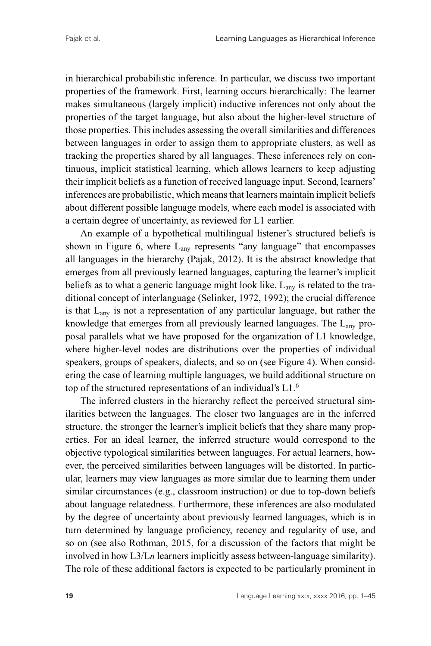in hierarchical probabilistic inference. In particular, we discuss two important properties of the framework. First, learning occurs hierarchically: The learner makes simultaneous (largely implicit) inductive inferences not only about the properties of the target language, but also about the higher-level structure of those properties. This includes assessing the overall similarities and differences between languages in order to assign them to appropriate clusters, as well as tracking the properties shared by all languages. These inferences rely on continuous, implicit statistical learning, which allows learners to keep adjusting their implicit beliefs as a function of received language input. Second, learners' inferences are probabilistic, which means that learners maintain implicit beliefs about different possible language models, where each model is associated with a certain degree of uncertainty, as reviewed for L1 earlier.

An example of a hypothetical multilingual listener's structured beliefs is shown in Figure 6, where  $L_{\text{any}}$  represents "any language" that encompasses all languages in the hierarchy (Pajak, 2012). It is the abstract knowledge that emerges from all previously learned languages, capturing the learner's implicit beliefs as to what a generic language might look like.  $L_{\text{anv}}$  is related to the traditional concept of interlanguage (Selinker, 1972, 1992); the crucial difference is that  $L_{\text{anv}}$  is not a representation of any particular language, but rather the knowledge that emerges from all previously learned languages. The L<sub>any</sub> proposal parallels what we have proposed for the organization of L1 knowledge, where higher-level nodes are distributions over the properties of individual speakers, groups of speakers, dialects, and so on (see Figure 4). When considering the case of learning multiple languages, we build additional structure on top of the structured representations of an individual's L1.<sup>6</sup>

The inferred clusters in the hierarchy reflect the perceived structural similarities between the languages. The closer two languages are in the inferred structure, the stronger the learner's implicit beliefs that they share many properties. For an ideal learner, the inferred structure would correspond to the objective typological similarities between languages. For actual learners, however, the perceived similarities between languages will be distorted. In particular, learners may view languages as more similar due to learning them under similar circumstances (e.g., classroom instruction) or due to top-down beliefs about language relatedness. Furthermore, these inferences are also modulated by the degree of uncertainty about previously learned languages, which is in turn determined by language proficiency, recency and regularity of use, and so on (see also Rothman, 2015, for a discussion of the factors that might be involved in how L3/L*n* learners implicitly assess between-language similarity). The role of these additional factors is expected to be particularly prominent in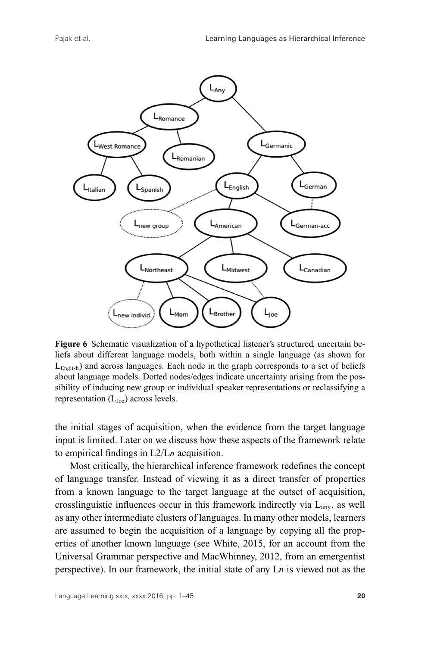

**Figure 6** Schematic visualization of a hypothetical listener's structured, uncertain beliefs about different language models, both within a single language (as shown for LEnglish) and across languages. Each node in the graph corresponds to a set of beliefs about language models. Dotted nodes/edges indicate uncertainty arising from the possibility of inducing new group or individual speaker representations or reclassifying a representation  $(L<sub>Joe</sub>)$  across levels.

the initial stages of acquisition, when the evidence from the target language input is limited. Later on we discuss how these aspects of the framework relate to empirical findings in L2/L*n* acquisition.

Most critically, the hierarchical inference framework redefines the concept of language transfer. Instead of viewing it as a direct transfer of properties from a known language to the target language at the outset of acquisition, crosslinguistic influences occur in this framework indirectly via  $L_{\text{any}}$ , as well as any other intermediate clusters of languages. In many other models, learners are assumed to begin the acquisition of a language by copying all the properties of another known language (see White, 2015, for an account from the Universal Grammar perspective and MacWhinney, 2012, from an emergentist perspective). In our framework, the initial state of any L*n* is viewed not as the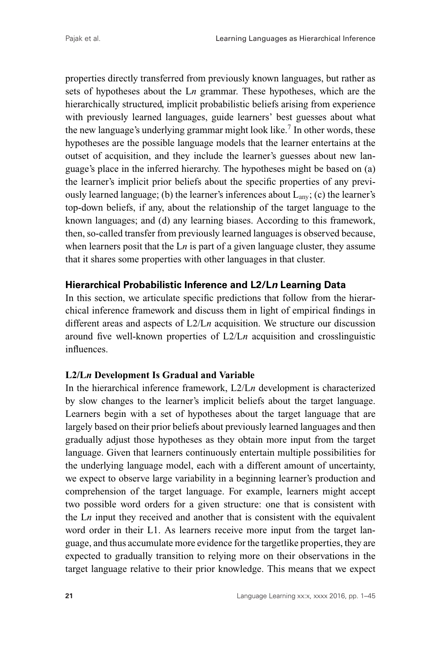properties directly transferred from previously known languages, but rather as sets of hypotheses about the L*n* grammar. These hypotheses, which are the hierarchically structured, implicit probabilistic beliefs arising from experience with previously learned languages, guide learners' best guesses about what the new language's underlying grammar might look like.<sup>7</sup> In other words, these hypotheses are the possible language models that the learner entertains at the outset of acquisition, and they include the learner's guesses about new language's place in the inferred hierarchy. The hypotheses might be based on (a) the learner's implicit prior beliefs about the specific properties of any previously learned language; (b) the learner's inferences about  $L_{\text{anv}}$ ; (c) the learner's top-down beliefs, if any, about the relationship of the target language to the known languages; and (d) any learning biases. According to this framework, then, so-called transfer from previously learned languages is observed because, when learners posit that the L<sub>n</sub> is part of a given language cluster, they assume that it shares some properties with other languages in that cluster.

# **Hierarchical Probabilistic Inference and L2/L<sup>n</sup> Learning Data**

In this section, we articulate specific predictions that follow from the hierarchical inference framework and discuss them in light of empirical findings in different areas and aspects of L2/L*n* acquisition. We structure our discussion around five well-known properties of L2/L*n* acquisition and crosslinguistic influences.

# **L2/L***n* **Development Is Gradual and Variable**

In the hierarchical inference framework, L2/L*n* development is characterized by slow changes to the learner's implicit beliefs about the target language. Learners begin with a set of hypotheses about the target language that are largely based on their prior beliefs about previously learned languages and then gradually adjust those hypotheses as they obtain more input from the target language. Given that learners continuously entertain multiple possibilities for the underlying language model, each with a different amount of uncertainty, we expect to observe large variability in a beginning learner's production and comprehension of the target language. For example, learners might accept two possible word orders for a given structure: one that is consistent with the L*n* input they received and another that is consistent with the equivalent word order in their L1. As learners receive more input from the target language, and thus accumulate more evidence for the targetlike properties, they are expected to gradually transition to relying more on their observations in the target language relative to their prior knowledge. This means that we expect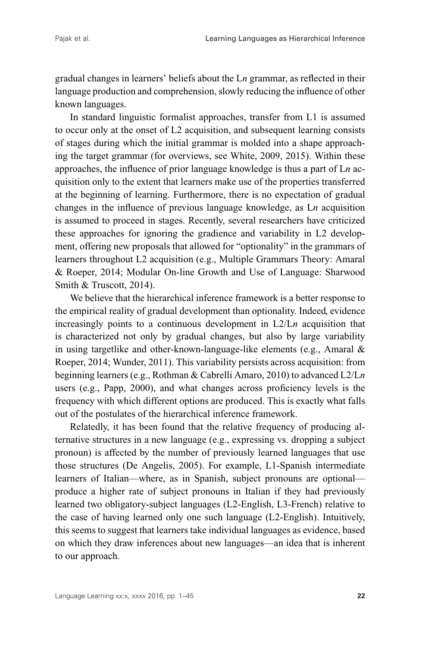gradual changes in learners' beliefs about the L*n* grammar, as reflected in their language production and comprehension, slowly reducing the influence of other known languages.

In standard linguistic formalist approaches, transfer from L1 is assumed to occur only at the onset of L2 acquisition, and subsequent learning consists of stages during which the initial grammar is molded into a shape approaching the target grammar (for overviews, see White, 2009, 2015). Within these approaches, the influence of prior language knowledge is thus a part of L*n* acquisition only to the extent that learners make use of the properties transferred at the beginning of learning. Furthermore, there is no expectation of gradual changes in the influence of previous language knowledge, as L*n* acquisition is assumed to proceed in stages. Recently, several researchers have criticized these approaches for ignoring the gradience and variability in L2 development, offering new proposals that allowed for "optionality" in the grammars of learners throughout L2 acquisition (e.g., Multiple Grammars Theory: Amaral & Roeper, 2014; Modular On-line Growth and Use of Language: Sharwood Smith & Truscott, 2014).

We believe that the hierarchical inference framework is a better response to the empirical reality of gradual development than optionality. Indeed, evidence increasingly points to a continuous development in L2/L*n* acquisition that is characterized not only by gradual changes, but also by large variability in using targetlike and other-known-language-like elements (e.g., Amaral & Roeper, 2014; Wunder, 2011). This variability persists across acquisition: from beginning learners (e.g., Rothman & Cabrelli Amaro, 2010) to advanced L2/L*n* users (e.g., Papp, 2000), and what changes across proficiency levels is the frequency with which different options are produced. This is exactly what falls out of the postulates of the hierarchical inference framework.

Relatedly, it has been found that the relative frequency of producing alternative structures in a new language (e.g., expressing vs. dropping a subject pronoun) is affected by the number of previously learned languages that use those structures (De Angelis, 2005). For example, L1-Spanish intermediate learners of Italian—where, as in Spanish, subject pronouns are optional produce a higher rate of subject pronouns in Italian if they had previously learned two obligatory-subject languages (L2-English, L3-French) relative to the case of having learned only one such language (L2-English). Intuitively, this seems to suggest that learners take individual languages as evidence, based on which they draw inferences about new languages—an idea that is inherent to our approach.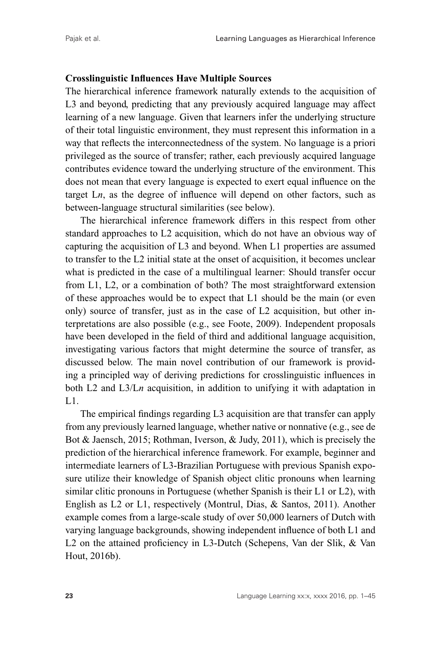#### **Crosslinguistic Influences Have Multiple Sources**

The hierarchical inference framework naturally extends to the acquisition of L3 and beyond, predicting that any previously acquired language may affect learning of a new language. Given that learners infer the underlying structure of their total linguistic environment, they must represent this information in a way that reflects the interconnectedness of the system. No language is a priori privileged as the source of transfer; rather, each previously acquired language contributes evidence toward the underlying structure of the environment. This does not mean that every language is expected to exert equal influence on the target  $Ln$ , as the degree of influence will depend on other factors, such as between-language structural similarities (see below).

The hierarchical inference framework differs in this respect from other standard approaches to L2 acquisition, which do not have an obvious way of capturing the acquisition of L3 and beyond. When L1 properties are assumed to transfer to the L2 initial state at the onset of acquisition, it becomes unclear what is predicted in the case of a multilingual learner: Should transfer occur from L1, L2, or a combination of both? The most straightforward extension of these approaches would be to expect that L1 should be the main (or even only) source of transfer, just as in the case of L2 acquisition, but other interpretations are also possible (e.g., see Foote, 2009). Independent proposals have been developed in the field of third and additional language acquisition, investigating various factors that might determine the source of transfer, as discussed below. The main novel contribution of our framework is providing a principled way of deriving predictions for crosslinguistic influences in both L2 and L3/L*n* acquisition, in addition to unifying it with adaptation in L1.

The empirical findings regarding L3 acquisition are that transfer can apply from any previously learned language, whether native or nonnative (e.g., see de Bot & Jaensch, 2015; Rothman, Iverson, & Judy, 2011), which is precisely the prediction of the hierarchical inference framework. For example, beginner and intermediate learners of L3-Brazilian Portuguese with previous Spanish exposure utilize their knowledge of Spanish object clitic pronouns when learning similar clitic pronouns in Portuguese (whether Spanish is their L1 or L2), with English as L2 or L1, respectively (Montrul, Dias, & Santos, 2011). Another example comes from a large-scale study of over 50,000 learners of Dutch with varying language backgrounds, showing independent influence of both L1 and L2 on the attained proficiency in L3-Dutch (Schepens, Van der Slik, & Van Hout, 2016b).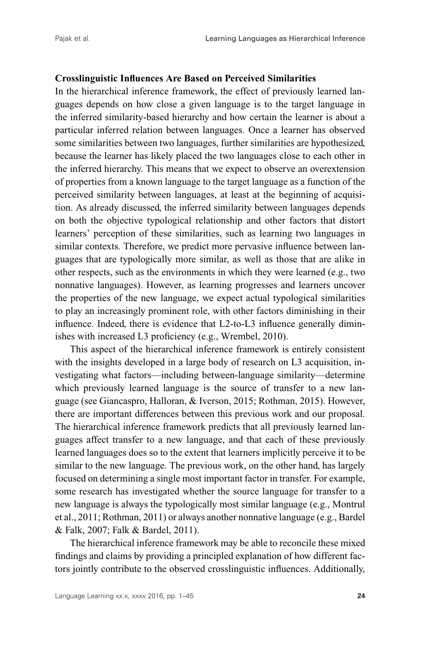#### **Crosslinguistic Influences Are Based on Perceived Similarities**

In the hierarchical inference framework, the effect of previously learned languages depends on how close a given language is to the target language in the inferred similarity-based hierarchy and how certain the learner is about a particular inferred relation between languages. Once a learner has observed some similarities between two languages, further similarities are hypothesized, because the learner has likely placed the two languages close to each other in the inferred hierarchy. This means that we expect to observe an overextension of properties from a known language to the target language as a function of the perceived similarity between languages, at least at the beginning of acquisition. As already discussed, the inferred similarity between languages depends on both the objective typological relationship and other factors that distort learners' perception of these similarities, such as learning two languages in similar contexts. Therefore, we predict more pervasive influence between languages that are typologically more similar, as well as those that are alike in other respects, such as the environments in which they were learned (e.g., two nonnative languages). However, as learning progresses and learners uncover the properties of the new language, we expect actual typological similarities to play an increasingly prominent role, with other factors diminishing in their influence. Indeed, there is evidence that L2-to-L3 influence generally diminishes with increased L3 proficiency (e.g., Wrembel, 2010).

This aspect of the hierarchical inference framework is entirely consistent with the insights developed in a large body of research on L3 acquisition, investigating what factors—including between-language similarity—determine which previously learned language is the source of transfer to a new language (see Giancaspro, Halloran, & Iverson, 2015; Rothman, 2015). However, there are important differences between this previous work and our proposal. The hierarchical inference framework predicts that all previously learned languages affect transfer to a new language, and that each of these previously learned languages does so to the extent that learners implicitly perceive it to be similar to the new language. The previous work, on the other hand, has largely focused on determining a single most important factor in transfer. For example, some research has investigated whether the source language for transfer to a new language is always the typologically most similar language (e.g., Montrul et al., 2011; Rothman, 2011) or always another nonnative language (e.g., Bardel & Falk, 2007; Falk & Bardel, 2011).

The hierarchical inference framework may be able to reconcile these mixed findings and claims by providing a principled explanation of how different factors jointly contribute to the observed crosslinguistic influences. Additionally,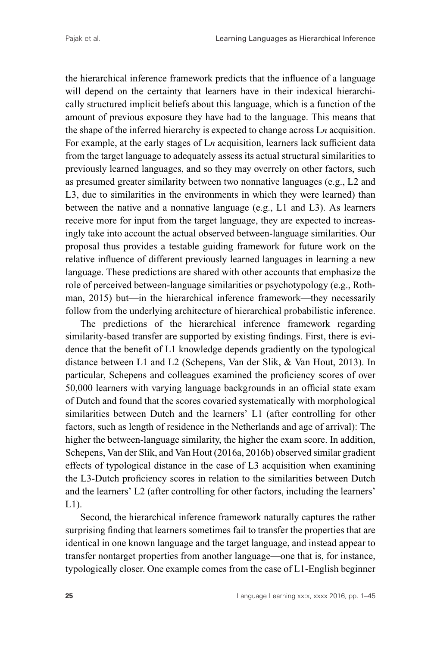the hierarchical inference framework predicts that the influence of a language will depend on the certainty that learners have in their indexical hierarchically structured implicit beliefs about this language, which is a function of the amount of previous exposure they have had to the language. This means that the shape of the inferred hierarchy is expected to change across L*n* acquisition. For example, at the early stages of L*n* acquisition, learners lack sufficient data from the target language to adequately assess its actual structural similarities to previously learned languages, and so they may overrely on other factors, such as presumed greater similarity between two nonnative languages (e.g., L2 and L3, due to similarities in the environments in which they were learned) than between the native and a nonnative language (e.g., L1 and L3). As learners receive more for input from the target language, they are expected to increasingly take into account the actual observed between-language similarities. Our proposal thus provides a testable guiding framework for future work on the relative influence of different previously learned languages in learning a new language. These predictions are shared with other accounts that emphasize the role of perceived between-language similarities or psychotypology (e.g., Rothman, 2015) but—in the hierarchical inference framework—they necessarily follow from the underlying architecture of hierarchical probabilistic inference.

The predictions of the hierarchical inference framework regarding similarity-based transfer are supported by existing findings. First, there is evidence that the benefit of L1 knowledge depends gradiently on the typological distance between L1 and L2 (Schepens, Van der Slik, & Van Hout, 2013). In particular, Schepens and colleagues examined the proficiency scores of over 50,000 learners with varying language backgrounds in an official state exam of Dutch and found that the scores covaried systematically with morphological similarities between Dutch and the learners' L1 (after controlling for other factors, such as length of residence in the Netherlands and age of arrival): The higher the between-language similarity, the higher the exam score. In addition, Schepens, Van der Slik, and Van Hout (2016a, 2016b) observed similar gradient effects of typological distance in the case of L3 acquisition when examining the L3-Dutch proficiency scores in relation to the similarities between Dutch and the learners' L2 (after controlling for other factors, including the learners' L1).

Second, the hierarchical inference framework naturally captures the rather surprising finding that learners sometimes fail to transfer the properties that are identical in one known language and the target language, and instead appear to transfer nontarget properties from another language—one that is, for instance, typologically closer. One example comes from the case of L1-English beginner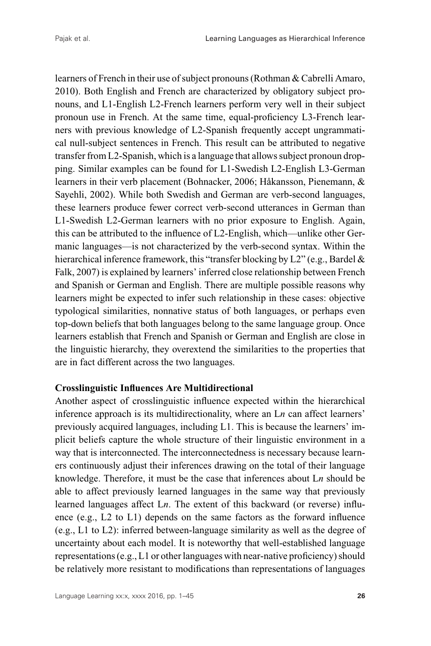learners of French in their use of subject pronouns (Rothman & Cabrelli Amaro, 2010). Both English and French are characterized by obligatory subject pronouns, and L1-English L2-French learners perform very well in their subject pronoun use in French. At the same time, equal-proficiency L3-French learners with previous knowledge of L2-Spanish frequently accept ungrammatical null-subject sentences in French. This result can be attributed to negative transfer from L2-Spanish, which is a language that allows subject pronoun dropping. Similar examples can be found for L1-Swedish L2-English L3-German learners in their verb placement (Bohnacker, 2006; Håkansson, Pienemann, & Sayehli, 2002). While both Swedish and German are verb-second languages, these learners produce fewer correct verb-second utterances in German than L1-Swedish L2-German learners with no prior exposure to English. Again, this can be attributed to the influence of L2-English, which—unlike other Germanic languages—is not characterized by the verb-second syntax. Within the hierarchical inference framework, this "transfer blocking by L2" (e.g., Bardel & Falk, 2007) is explained by learners' inferred close relationship between French and Spanish or German and English. There are multiple possible reasons why learners might be expected to infer such relationship in these cases: objective typological similarities, nonnative status of both languages, or perhaps even top-down beliefs that both languages belong to the same language group. Once learners establish that French and Spanish or German and English are close in the linguistic hierarchy, they overextend the similarities to the properties that are in fact different across the two languages.

#### **Crosslinguistic Influences Are Multidirectional**

Another aspect of crosslinguistic influence expected within the hierarchical inference approach is its multidirectionality, where an L*n* can affect learners' previously acquired languages, including L1. This is because the learners' implicit beliefs capture the whole structure of their linguistic environment in a way that is interconnected. The interconnectedness is necessary because learners continuously adjust their inferences drawing on the total of their language knowledge. Therefore, it must be the case that inferences about L*n* should be able to affect previously learned languages in the same way that previously learned languages affect L*n*. The extent of this backward (or reverse) influence (e.g., L2 to L1) depends on the same factors as the forward influence (e.g., L1 to L2): inferred between-language similarity as well as the degree of uncertainty about each model. It is noteworthy that well-established language representations (e.g., L1 or other languages with near-native proficiency) should be relatively more resistant to modifications than representations of languages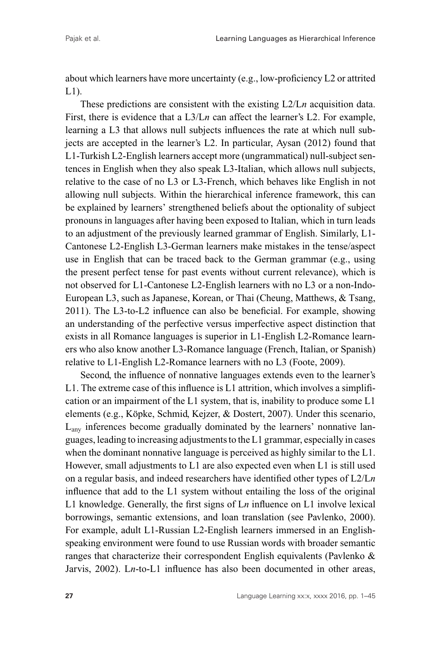about which learners have more uncertainty (e.g., low-proficiency L2 or attrited L1).

These predictions are consistent with the existing L2/L*n* acquisition data. First, there is evidence that a L3/Ln can affect the learner's L2. For example, learning a L3 that allows null subjects influences the rate at which null subjects are accepted in the learner's L2. In particular, Aysan (2012) found that L1-Turkish L2-English learners accept more (ungrammatical) null-subject sentences in English when they also speak L3-Italian, which allows null subjects, relative to the case of no L3 or L3-French, which behaves like English in not allowing null subjects. Within the hierarchical inference framework, this can be explained by learners' strengthened beliefs about the optionality of subject pronouns in languages after having been exposed to Italian, which in turn leads to an adjustment of the previously learned grammar of English. Similarly, L1- Cantonese L2-English L3-German learners make mistakes in the tense/aspect use in English that can be traced back to the German grammar (e.g., using the present perfect tense for past events without current relevance), which is not observed for L1-Cantonese L2-English learners with no L3 or a non-Indo-European L3, such as Japanese, Korean, or Thai (Cheung, Matthews, & Tsang, 2011). The L3-to-L2 influence can also be beneficial. For example, showing an understanding of the perfective versus imperfective aspect distinction that exists in all Romance languages is superior in L1-English L2-Romance learners who also know another L3-Romance language (French, Italian, or Spanish) relative to L1-English L2-Romance learners with no L3 (Foote, 2009).

Second, the influence of nonnative languages extends even to the learner's L1. The extreme case of this influence is L1 attrition, which involves a simplification or an impairment of the L1 system, that is, inability to produce some L1 elements (e.g., Köpke, Schmid, Kejzer, & Dostert, 2007). Under this scenario, Lany inferences become gradually dominated by the learners' nonnative languages, leading to increasing adjustments to the L1 grammar, especially in cases when the dominant nonnative language is perceived as highly similar to the L1. However, small adjustments to L1 are also expected even when L1 is still used on a regular basis, and indeed researchers have identified other types of L2/L*n* influence that add to the L1 system without entailing the loss of the original L1 knowledge. Generally, the first signs of L*n* influence on L1 involve lexical borrowings, semantic extensions, and loan translation (see Pavlenko, 2000). For example, adult L1-Russian L2-English learners immersed in an Englishspeaking environment were found to use Russian words with broader semantic ranges that characterize their correspondent English equivalents (Pavlenko & Jarvis, 2002). L*n*-to-L1 influence has also been documented in other areas,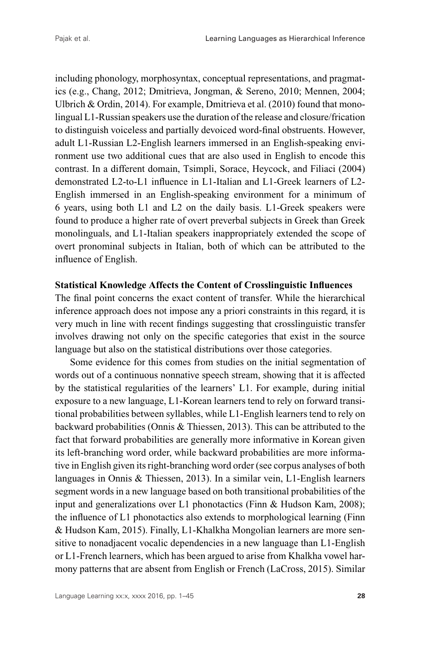including phonology, morphosyntax, conceptual representations, and pragmatics (e.g., Chang, 2012; Dmitrieva, Jongman, & Sereno, 2010; Mennen, 2004; Ulbrich & Ordin, 2014). For example, Dmitrieva et al. (2010) found that monolingual L1-Russian speakers use the duration of the release and closure/frication to distinguish voiceless and partially devoiced word-final obstruents. However, adult L1-Russian L2-English learners immersed in an English-speaking environment use two additional cues that are also used in English to encode this contrast. In a different domain, Tsimpli, Sorace, Heycock, and Filiaci (2004) demonstrated L2-to-L1 influence in L1-Italian and L1-Greek learners of L2- English immersed in an English-speaking environment for a minimum of 6 years, using both L1 and L2 on the daily basis. L1-Greek speakers were found to produce a higher rate of overt preverbal subjects in Greek than Greek monolinguals, and L1-Italian speakers inappropriately extended the scope of overt pronominal subjects in Italian, both of which can be attributed to the influence of English.

#### **Statistical Knowledge Affects the Content of Crosslinguistic Influences**

The final point concerns the exact content of transfer. While the hierarchical inference approach does not impose any a priori constraints in this regard, it is very much in line with recent findings suggesting that crosslinguistic transfer involves drawing not only on the specific categories that exist in the source language but also on the statistical distributions over those categories.

Some evidence for this comes from studies on the initial segmentation of words out of a continuous nonnative speech stream, showing that it is affected by the statistical regularities of the learners' L1. For example, during initial exposure to a new language, L1-Korean learners tend to rely on forward transitional probabilities between syllables, while L1-English learners tend to rely on backward probabilities (Onnis & Thiessen, 2013). This can be attributed to the fact that forward probabilities are generally more informative in Korean given its left-branching word order, while backward probabilities are more informative in English given its right-branching word order (see corpus analyses of both languages in Onnis & Thiessen, 2013). In a similar vein, L1-English learners segment words in a new language based on both transitional probabilities of the input and generalizations over L1 phonotactics (Finn & Hudson Kam, 2008); the influence of L1 phonotactics also extends to morphological learning (Finn & Hudson Kam, 2015). Finally, L1-Khalkha Mongolian learners are more sensitive to nonadjacent vocalic dependencies in a new language than L1-English or L1-French learners, which has been argued to arise from Khalkha vowel harmony patterns that are absent from English or French (LaCross, 2015). Similar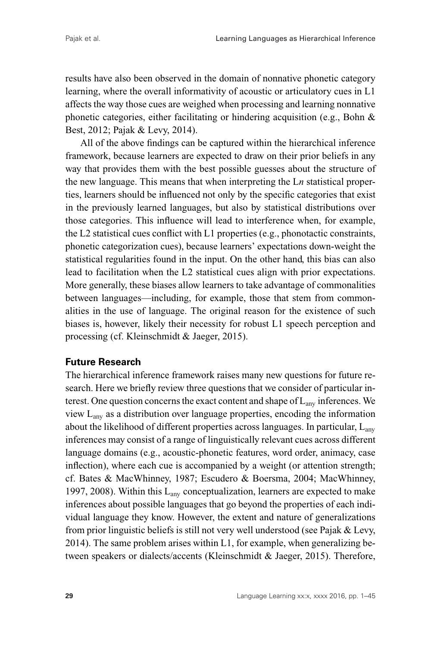results have also been observed in the domain of nonnative phonetic category learning, where the overall informativity of acoustic or articulatory cues in L1 affects the way those cues are weighed when processing and learning nonnative phonetic categories, either facilitating or hindering acquisition (e.g., Bohn & Best, 2012; Pajak & Levy, 2014).

All of the above findings can be captured within the hierarchical inference framework, because learners are expected to draw on their prior beliefs in any way that provides them with the best possible guesses about the structure of the new language. This means that when interpreting the L*n* statistical properties, learners should be influenced not only by the specific categories that exist in the previously learned languages, but also by statistical distributions over those categories. This influence will lead to interference when, for example, the L2 statistical cues conflict with L1 properties (e.g., phonotactic constraints, phonetic categorization cues), because learners' expectations down-weight the statistical regularities found in the input. On the other hand, this bias can also lead to facilitation when the L2 statistical cues align with prior expectations. More generally, these biases allow learners to take advantage of commonalities between languages—including, for example, those that stem from commonalities in the use of language. The original reason for the existence of such biases is, however, likely their necessity for robust L1 speech perception and processing (cf. Kleinschmidt & Jaeger, 2015).

#### **Future Research**

The hierarchical inference framework raises many new questions for future research. Here we briefly review three questions that we consider of particular interest. One question concerns the exact content and shape of  $L_{\text{anv}}$  inferences. We view Lany as a distribution over language properties, encoding the information about the likelihood of different properties across languages. In particular,  $L_{\text{anv}}$ inferences may consist of a range of linguistically relevant cues across different language domains (e.g., acoustic-phonetic features, word order, animacy, case inflection), where each cue is accompanied by a weight (or attention strength; cf. Bates & MacWhinney, 1987; Escudero & Boersma, 2004; MacWhinney, 1997, 2008). Within this  $L_{\text{anv}}$  conceptualization, learners are expected to make inferences about possible languages that go beyond the properties of each individual language they know. However, the extent and nature of generalizations from prior linguistic beliefs is still not very well understood (see Pajak & Levy, 2014). The same problem arises within L1, for example, when generalizing between speakers or dialects/accents (Kleinschmidt & Jaeger, 2015). Therefore,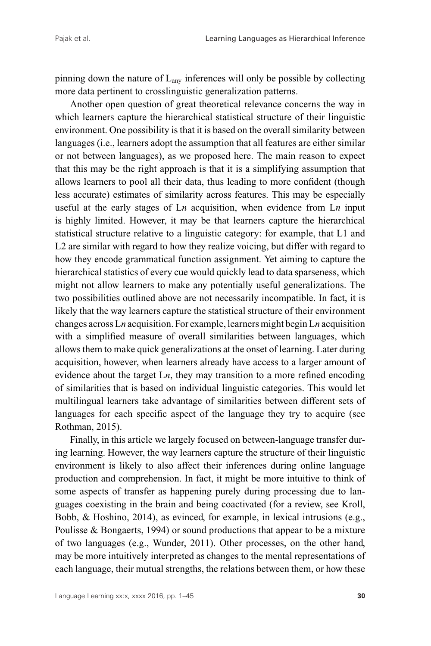pinning down the nature of  $L_{\text{anv}}$  inferences will only be possible by collecting more data pertinent to crosslinguistic generalization patterns.

Another open question of great theoretical relevance concerns the way in which learners capture the hierarchical statistical structure of their linguistic environment. One possibility is that it is based on the overall similarity between languages (i.e., learners adopt the assumption that all features are either similar or not between languages), as we proposed here. The main reason to expect that this may be the right approach is that it is a simplifying assumption that allows learners to pool all their data, thus leading to more confident (though less accurate) estimates of similarity across features. This may be especially useful at the early stages of L*n* acquisition, when evidence from L*n* input is highly limited. However, it may be that learners capture the hierarchical statistical structure relative to a linguistic category: for example, that L1 and L2 are similar with regard to how they realize voicing, but differ with regard to how they encode grammatical function assignment. Yet aiming to capture the hierarchical statistics of every cue would quickly lead to data sparseness, which might not allow learners to make any potentially useful generalizations. The two possibilities outlined above are not necessarily incompatible. In fact, it is likely that the way learners capture the statistical structure of their environment changes across L*n* acquisition. For example, learners might begin L*n* acquisition with a simplified measure of overall similarities between languages, which allows them to make quick generalizations at the onset of learning. Later during acquisition, however, when learners already have access to a larger amount of evidence about the target L*n*, they may transition to a more refined encoding of similarities that is based on individual linguistic categories. This would let multilingual learners take advantage of similarities between different sets of languages for each specific aspect of the language they try to acquire (see Rothman, 2015).

Finally, in this article we largely focused on between-language transfer during learning. However, the way learners capture the structure of their linguistic environment is likely to also affect their inferences during online language production and comprehension. In fact, it might be more intuitive to think of some aspects of transfer as happening purely during processing due to languages coexisting in the brain and being coactivated (for a review, see Kroll, Bobb, & Hoshino, 2014), as evinced, for example, in lexical intrusions (e.g., Poulisse & Bongaerts, 1994) or sound productions that appear to be a mixture of two languages (e.g., Wunder, 2011). Other processes, on the other hand, may be more intuitively interpreted as changes to the mental representations of each language, their mutual strengths, the relations between them, or how these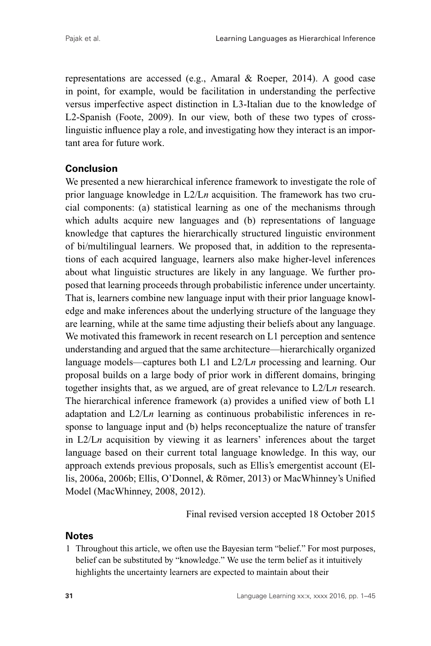representations are accessed (e.g., Amaral & Roeper, 2014). A good case in point, for example, would be facilitation in understanding the perfective versus imperfective aspect distinction in L3-Italian due to the knowledge of L2-Spanish (Foote, 2009). In our view, both of these two types of crosslinguistic influence play a role, and investigating how they interact is an important area for future work.

# **Conclusion**

We presented a new hierarchical inference framework to investigate the role of prior language knowledge in L2/L*n* acquisition. The framework has two crucial components: (a) statistical learning as one of the mechanisms through which adults acquire new languages and (b) representations of language knowledge that captures the hierarchically structured linguistic environment of bi/multilingual learners. We proposed that, in addition to the representations of each acquired language, learners also make higher-level inferences about what linguistic structures are likely in any language. We further proposed that learning proceeds through probabilistic inference under uncertainty. That is, learners combine new language input with their prior language knowledge and make inferences about the underlying structure of the language they are learning, while at the same time adjusting their beliefs about any language. We motivated this framework in recent research on L1 perception and sentence understanding and argued that the same architecture—hierarchically organized language models—captures both L1 and L2/L*n* processing and learning. Our proposal builds on a large body of prior work in different domains, bringing together insights that, as we argued, are of great relevance to L2/L*n* research. The hierarchical inference framework (a) provides a unified view of both L1 adaptation and L2/L*n* learning as continuous probabilistic inferences in response to language input and (b) helps reconceptualize the nature of transfer in L2/L*n* acquisition by viewing it as learners' inferences about the target language based on their current total language knowledge. In this way, our approach extends previous proposals, such as Ellis's emergentist account (Ellis, 2006a, 2006b; Ellis, O'Donnel, & Römer, 2013) or MacWhinney's Unified Model (MacWhinney, 2008, 2012).

Final revised version accepted 18 October 2015

# **Notes**

1 Throughout this article, we often use the Bayesian term "belief." For most purposes, belief can be substituted by "knowledge." We use the term belief as it intuitively highlights the uncertainty learners are expected to maintain about their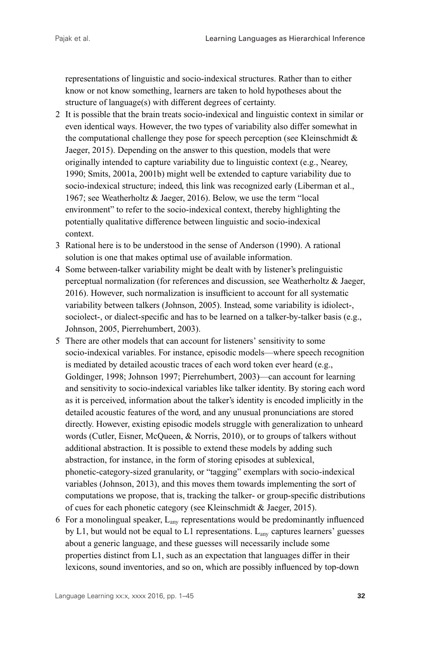representations of linguistic and socio-indexical structures. Rather than to either know or not know something, learners are taken to hold hypotheses about the structure of language(s) with different degrees of certainty.

- 2 It is possible that the brain treats socio-indexical and linguistic context in similar or even identical ways. However, the two types of variability also differ somewhat in the computational challenge they pose for speech perception (see Kleinschmidt  $\&$ Jaeger, 2015). Depending on the answer to this question, models that were originally intended to capture variability due to linguistic context (e.g., Nearey, 1990; Smits, 2001a, 2001b) might well be extended to capture variability due to socio-indexical structure; indeed, this link was recognized early (Liberman et al., 1967; see Weatherholtz & Jaeger, 2016). Below, we use the term "local environment" to refer to the socio-indexical context, thereby highlighting the potentially qualitative difference between linguistic and socio-indexical context.
- 3 Rational here is to be understood in the sense of Anderson (1990). A rational solution is one that makes optimal use of available information.
- 4 Some between-talker variability might be dealt with by listener's prelinguistic perceptual normalization (for references and discussion, see Weatherholtz & Jaeger, 2016). However, such normalization is insufficient to account for all systematic variability between talkers (Johnson, 2005). Instead, some variability is idiolect-, sociolect-, or dialect-specific and has to be learned on a talker-by-talker basis (e.g., Johnson, 2005, Pierrehumbert, 2003).
- 5 There are other models that can account for listeners' sensitivity to some socio-indexical variables. For instance, episodic models—where speech recognition is mediated by detailed acoustic traces of each word token ever heard (e.g., Goldinger, 1998; Johnson 1997; Pierrehumbert, 2003)—can account for learning and sensitivity to socio-indexical variables like talker identity. By storing each word as it is perceived, information about the talker's identity is encoded implicitly in the detailed acoustic features of the word, and any unusual pronunciations are stored directly. However, existing episodic models struggle with generalization to unheard words (Cutler, Eisner, McQueen, & Norris, 2010), or to groups of talkers without additional abstraction. It is possible to extend these models by adding such abstraction, for instance, in the form of storing episodes at sublexical, phonetic-category-sized granularity, or "tagging" exemplars with socio-indexical variables (Johnson, 2013), and this moves them towards implementing the sort of computations we propose, that is, tracking the talker- or group-specific distributions of cues for each phonetic category (see Kleinschmidt & Jaeger, 2015).
- 6 For a monolingual speaker, Lany representations would be predominantly influenced by L1, but would not be equal to L1 representations.  $L_{\text{anv}}$  captures learners' guesses about a generic language, and these guesses will necessarily include some properties distinct from L1, such as an expectation that languages differ in their lexicons, sound inventories, and so on, which are possibly influenced by top-down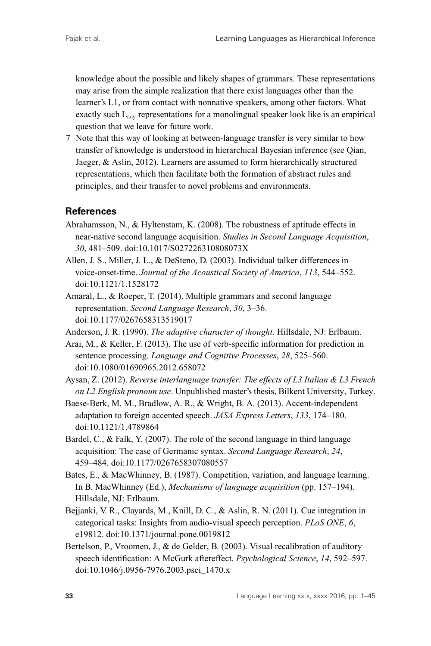knowledge about the possible and likely shapes of grammars. These representations may arise from the simple realization that there exist languages other than the learner's L1, or from contact with nonnative speakers, among other factors. What exactly such Lany representations for a monolingual speaker look like is an empirical question that we leave for future work.

7 Note that this way of looking at between-language transfer is very similar to how transfer of knowledge is understood in hierarchical Bayesian inference (see Qian, Jaeger, & Aslin, 2012). Learners are assumed to form hierarchically structured representations, which then facilitate both the formation of abstract rules and principles, and their transfer to novel problems and environments.

### **References**

- Abrahamsson, N., & Hyltenstam, K. (2008). The robustness of aptitude effects in near-native second language acquisition. *Studies in Second Language Acquisition*, *30*, 481–509. doi:10.1017/S027226310808073X
- Allen, J. S., Miller, J. L., & DeSteno, D. (2003). Individual talker differences in voice-onset-time. *Journal of the Acoustical Society of America*, *113*, 544–552. doi:10.1121/1.1528172
- Amaral, L., & Roeper, T. (2014). Multiple grammars and second language representation. *Second Language Research*, *30*, 3–36. doi:10.1177/0267658313519017

Anderson, J. R. (1990). *The adaptive character of thought*. Hillsdale, NJ: Erlbaum.

Arai, M., & Keller, F. (2013). The use of verb-specific information for prediction in sentence processing. *Language and Cognitive Processes*, *28*, 525–560. doi:10.1080/01690965.2012.658072

Aysan, Z. (2012). *Reverse interlanguage transfer: The effects of L3 Italian & L3 French on L2 English pronoun use*. Unpublished master's thesis, Bilkent University, Turkey.

- Baese-Berk, M. M., Bradlow, A. R., & Wright, B. A. (2013). Accent-independent adaptation to foreign accented speech. *JASA Express Letters*, *133*, 174–180. doi:10.1121/1.4789864
- Bardel, C., & Falk, Y. (2007). The role of the second language in third language acquisition: The case of Germanic syntax. *Second Language Research*, *24*, 459–484. doi:10.1177/0267658307080557
- Bates, E., & MacWhinney, B. (1987). Competition, variation, and language learning. In B. MacWhinney (Ed.), *Mechanisms of language acquisition* (pp. 157–194). Hillsdale, NJ: Erlbaum.
- Bejjanki, V. R., Clayards, M., Knill, D. C., & Aslin, R. N. (2011). Cue integration in categorical tasks: Insights from audio-visual speech perception. *PLoS ONE*, *6*, e19812. doi:10.1371/journal.pone.0019812
- Bertelson, P., Vroomen, J., & de Gelder, B. (2003). Visual recalibration of auditory speech identification: A McGurk aftereffect. *Psychological Science*, *14*, 592–597. doi:10.1046/j.0956-7976.2003.psci\_1470.x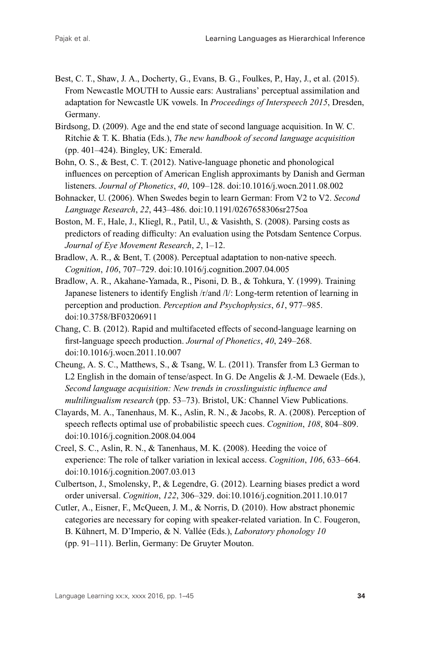- Best, C. T., Shaw, J. A., Docherty, G., Evans, B. G., Foulkes, P., Hay, J., et al. (2015). From Newcastle MOUTH to Aussie ears: Australians' perceptual assimilation and adaptation for Newcastle UK vowels. In *Proceedings of Interspeech 2015*, Dresden, Germany.
- Birdsong, D. (2009). Age and the end state of second language acquisition. In W. C. Ritchie & T. K. Bhatia (Eds.), *The new handbook of second language acquisition* (pp. 401–424). Bingley, UK: Emerald.
- Bohn, O. S., & Best, C. T. (2012). Native-language phonetic and phonological influences on perception of American English approximants by Danish and German listeners. *Journal of Phonetics*, *40*, 109–128. doi:10.1016/j.wocn.2011.08.002
- Bohnacker, U. (2006). When Swedes begin to learn German: From V2 to V2. *Second Language Research*, *22*, 443–486. doi:10.1191/0267658306sr275oa
- Boston, M. F., Hale, J., Kliegl, R., Patil, U., & Vasishth, S. (2008). Parsing costs as predictors of reading difficulty: An evaluation using the Potsdam Sentence Corpus. *Journal of Eye Movement Research*, *2*, 1–12.
- Bradlow, A. R., & Bent, T. (2008). Perceptual adaptation to non-native speech. *Cognition*, *106*, 707–729. doi:10.1016/j.cognition.2007.04.005
- Bradlow, A. R., Akahane-Yamada, R., Pisoni, D. B., & Tohkura, Y. (1999). Training Japanese listeners to identify English /r/and /l/: Long-term retention of learning in perception and production. *Perception and Psychophysics*, *61*, 977–985. doi:10.3758/BF03206911
- Chang, C. B. (2012). Rapid and multifaceted effects of second-language learning on first-language speech production. *Journal of Phonetics*, *40*, 249–268. doi:10.1016/j.wocn.2011.10.007
- Cheung, A. S. C., Matthews, S., & Tsang, W. L. (2011). Transfer from L3 German to L2 English in the domain of tense/aspect. In G. De Angelis & J.-M. Dewaele (Eds.), *Second language acquisition: New trends in crosslinguistic influence and multilingualism research* (pp. 53–73). Bristol, UK: Channel View Publications.
- Clayards, M. A., Tanenhaus, M. K., Aslin, R. N., & Jacobs, R. A. (2008). Perception of speech reflects optimal use of probabilistic speech cues. *Cognition*, *108*, 804–809. doi:10.1016/j.cognition.2008.04.004
- Creel, S. C., Aslin, R. N., & Tanenhaus, M. K. (2008). Heeding the voice of experience: The role of talker variation in lexical access. *Cognition*, *106*, 633–664. doi:10.1016/j.cognition.2007.03.013
- Culbertson, J., Smolensky, P., & Legendre, G. (2012). Learning biases predict a word order universal. *Cognition*, *122*, 306–329. doi:10.1016/j.cognition.2011.10.017
- Cutler, A., Eisner, F., McQueen, J. M., & Norris, D. (2010). How abstract phonemic categories are necessary for coping with speaker-related variation. In C. Fougeron, B. Kühnert, M. D'Imperio, & N. Vallée (Eds.), *Laboratory phonology 10* (pp. 91–111). Berlin, Germany: De Gruyter Mouton.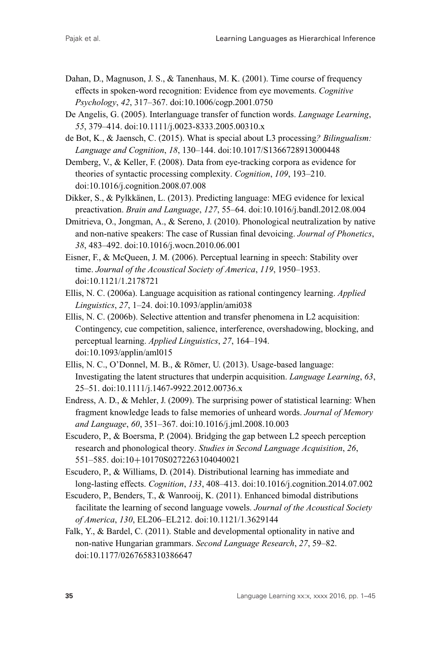- Dahan, D., Magnuson, J. S., & Tanenhaus, M. K. (2001). Time course of frequency effects in spoken-word recognition: Evidence from eye movements. *Cognitive Psychology*, *42*, 317–367. doi:10.1006/cogp.2001.0750
- De Angelis, G. (2005). Interlanguage transfer of function words. *Language Learning*, *55*, 379–414. doi:10.1111/j.0023-8333.2005.00310.x
- de Bot, K., & Jaensch, C. (2015). What is special about L3 processing*? Bilingualism: Language and Cognition*, *18*, 130–144. doi:10.1017/S1366728913000448
- Demberg, V., & Keller, F. (2008). Data from eye-tracking corpora as evidence for theories of syntactic processing complexity. *Cognition*, *109*, 193–210. doi:10.1016/j.cognition.2008.07.008
- Dikker, S., & Pylkkänen, L. (2013). Predicting language: MEG evidence for lexical preactivation. *Brain and Language*, *127*, 55–64. doi:10.1016/j.bandl.2012.08.004
- Dmitrieva, O., Jongman, A., & Sereno, J. (2010). Phonological neutralization by native and non-native speakers: The case of Russian final devoicing. *Journal of Phonetics*, *38*, 483–492. doi:10.1016/j.wocn.2010.06.001
- Eisner, F., & McQueen, J. M. (2006). Perceptual learning in speech: Stability over time. *Journal of the Acoustical Society of America*, *119*, 1950–1953. doi:10.1121/1.2178721
- Ellis, N. C. (2006a). Language acquisition as rational contingency learning. *Applied Linguistics*, *27*, 1–24. doi:10.1093/applin/ami038
- Ellis, N. C. (2006b). Selective attention and transfer phenomena in L2 acquisition: Contingency, cue competition, salience, interference, overshadowing, blocking, and perceptual learning. *Applied Linguistics*, *27*, 164–194. doi:10.1093/applin/aml015
- Ellis, N. C., O'Donnel, M. B., & Römer, U. (2013). Usage-based language: Investigating the latent structures that underpin acquisition. *Language Learning*, *63*, 25–51. doi:10.1111/j.1467-9922.2012.00736.x
- Endress, A. D., & Mehler, J. (2009). The surprising power of statistical learning: When fragment knowledge leads to false memories of unheard words. *Journal of Memory and Language*, *60*, 351–367. doi:10.1016/j.jml.2008.10.003
- Escudero, P., & Boersma, P. (2004). Bridging the gap between L2 speech perception research and phonological theory. *Studies in Second Language Acquisition*, *26*, 551–585. doi:10+10170S0272263104040021
- Escudero, P., & Williams, D. (2014). Distributional learning has immediate and long-lasting effects. *Cognition*, *133*, 408–413. doi:10.1016/j.cognition.2014.07.002
- Escudero, P., Benders, T., & Wanrooij, K. (2011). Enhanced bimodal distributions facilitate the learning of second language vowels. *Journal of the Acoustical Society of America*, *130*, EL206–EL212. doi:10.1121/1.3629144
- Falk, Y., & Bardel, C. (2011). Stable and developmental optionality in native and non-native Hungarian grammars. *Second Language Research*, *27*, 59–82. doi:10.1177/0267658310386647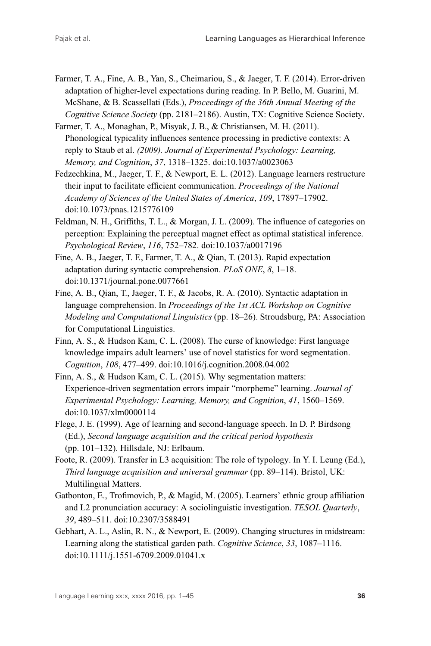- Farmer, T. A., Fine, A. B., Yan, S., Cheimariou, S., & Jaeger, T. F. (2014). Error-driven adaptation of higher-level expectations during reading. In P. Bello, M. Guarini, M. McShane, & B. Scassellati (Eds.), *Proceedings of the 36th Annual Meeting of the Cognitive Science Society* (pp. 2181–2186). Austin, TX: Cognitive Science Society.
- Farmer, T. A., Monaghan, P., Misyak, J. B., & Christiansen, M. H. (2011). Phonological typicality influences sentence processing in predictive contexts: A reply to Staub et al. *(2009). Journal of Experimental Psychology: Learning, Memory, and Cognition*, *37*, 1318–1325. doi:10.1037/a0023063
- Fedzechkina, M., Jaeger, T. F., & Newport, E. L. (2012). Language learners restructure their input to facilitate efficient communication. *Proceedings of the National Academy of Sciences of the United States of America*, *109*, 17897–17902. doi:10.1073/pnas.1215776109
- Feldman, N. H., Griffiths, T. L., & Morgan, J. L. (2009). The influence of categories on perception: Explaining the perceptual magnet effect as optimal statistical inference. *Psychological Review*, *116*, 752–782. doi:10.1037/a0017196
- Fine, A. B., Jaeger, T. F., Farmer, T. A., & Qian, T. (2013). Rapid expectation adaptation during syntactic comprehension. *PLoS ONE*, *8*, 1–18. doi:10.1371/journal.pone.0077661
- Fine, A. B., Qian, T., Jaeger, T. F., & Jacobs, R. A. (2010). Syntactic adaptation in language comprehension. In *Proceedings of the 1st ACL Workshop on Cognitive Modeling and Computational Linguistics* (pp. 18–26). Stroudsburg, PA: Association for Computational Linguistics.
- Finn, A. S., & Hudson Kam, C. L. (2008). The curse of knowledge: First language knowledge impairs adult learners' use of novel statistics for word segmentation. *Cognition*, *108*, 477–499. doi:10.1016/j.cognition.2008.04.002
- Finn, A. S., & Hudson Kam, C. L. (2015). Why segmentation matters: Experience-driven segmentation errors impair "morpheme" learning. *Journal of Experimental Psychology: Learning, Memory, and Cognition*, *41*, 1560–1569. doi:10.1037/xlm0000114
- Flege, J. E. (1999). Age of learning and second-language speech. In D. P. Birdsong (Ed.), *Second language acquisition and the critical period hypothesis* (pp. 101–132). Hillsdale, NJ: Erlbaum.
- Foote, R. (2009). Transfer in L3 acquisition: The role of typology. In Y. I. Leung (Ed.), *Third language acquisition and universal grammar* (pp. 89–114). Bristol, UK: Multilingual Matters.
- Gatbonton, E., Trofimovich, P., & Magid, M. (2005). Learners' ethnic group affiliation and L2 pronunciation accuracy: A sociolinguistic investigation. *TESOL Quarterly*, *39*, 489–511. doi:10.2307/3588491
- Gebhart, A. L., Aslin, R. N., & Newport, E. (2009). Changing structures in midstream: Learning along the statistical garden path. *Cognitive Science*, *33*, 1087–1116. doi:10.1111/j.1551-6709.2009.01041.x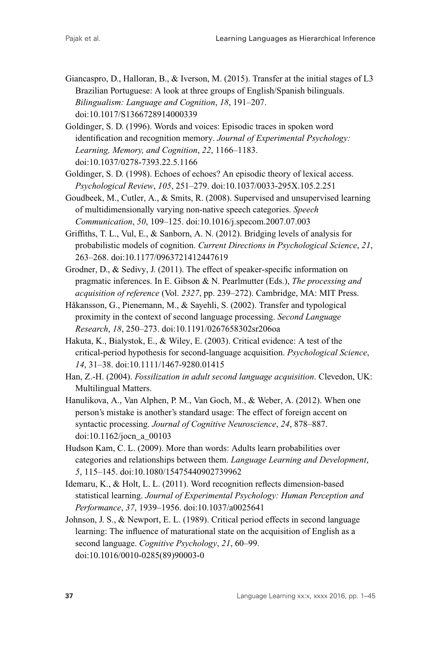- Giancaspro, D., Halloran, B., & Iverson, M. (2015). Transfer at the initial stages of L3 Brazilian Portuguese: A look at three groups of English/Spanish bilinguals. *Bilingualism: Language and Cognition*, *18*, 191–207. doi:10.1017/S1366728914000339
- Goldinger, S. D. (1996). Words and voices: Episodic traces in spoken word identification and recognition memory. *Journal of Experimental Psychology: Learning, Memory, and Cognition*, *22*, 1166–1183. doi:10.1037/0278-7393.22.5.1166
- Goldinger, S. D. (1998). Echoes of echoes? An episodic theory of lexical access. *Psychological Review*, *105*, 251–279. doi:10.1037/0033-295X.105.2.251
- Goudbeek, M., Cutler, A., & Smits, R. (2008). Supervised and unsupervised learning of multidimensionally varying non-native speech categories. *Speech Communication*, *50*, 109–125. doi:10.1016/j.specom.2007.07.003
- Griffiths, T. L., Vul, E., & Sanborn, A. N. (2012). Bridging levels of analysis for probabilistic models of cognition. *Current Directions in Psychological Science*, *21*, 263–268. doi:10.1177/0963721412447619
- Grodner, D., & Sedivy, J. (2011). The effect of speaker-specific information on pragmatic inferences. In E. Gibson & N. Pearlmutter (Eds.), *The processing and acquisition of reference* (Vol. *2327*, pp. 239–272). Cambridge, MA: MIT Press.
- Håkansson, G., Pienemann, M., & Sayehli, S. (2002). Transfer and typological proximity in the context of second language processing. *Second Language Research*, *18*, 250–273. doi:10.1191/0267658302sr206oa
- Hakuta, K., Bialystok, E., & Wiley, E. (2003). Critical evidence: A test of the critical-period hypothesis for second-language acquisition. *Psychological Science*, *14*, 31–38. doi:10.1111/1467-9280.01415
- Han, Z.-H. (2004). *Fossilization in adult second language acquisition*. Clevedon, UK: Multilingual Matters.
- Hanulikova, A., Van Alphen, P. M., Van Goch, M., & Weber, A. (2012). When one person's mistake is another's standard usage: The effect of foreign accent on syntactic processing. *Journal of Cognitive Neuroscience*, *24*, 878–887. doi:10.1162/jocn\_a\_00103
- Hudson Kam, C. L. (2009). More than words: Adults learn probabilities over categories and relationships between them. *Language Learning and Development*, *5*, 115–145. doi:10.1080/15475440902739962
- Idemaru, K., & Holt, L. L. (2011). Word recognition reflects dimension-based statistical learning. *Journal of Experimental Psychology: Human Perception and Performance*, *37*, 1939–1956. doi:10.1037/a0025641
- Johnson, J. S., & Newport, E. L. (1989). Critical period effects in second language learning: The influence of maturational state on the acquisition of English as a second language. *Cognitive Psychology*, *21*, 60–99. doi:10.1016/0010-0285(89)90003-0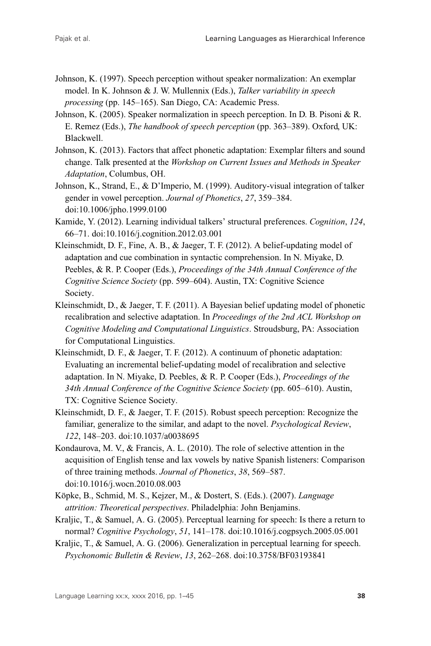- Johnson, K. (1997). Speech perception without speaker normalization: An exemplar model. In K. Johnson & J. W. Mullennix (Eds.), *Talker variability in speech processing* (pp. 145–165). San Diego, CA: Academic Press.
- Johnson, K. (2005). Speaker normalization in speech perception. In D. B. Pisoni & R. E. Remez (Eds.), *The handbook of speech perception* (pp. 363–389). Oxford, UK: Blackwell.
- Johnson, K. (2013). Factors that affect phonetic adaptation: Exemplar filters and sound change. Talk presented at the *Workshop on Current Issues and Methods in Speaker Adaptation*, Columbus, OH.
- Johnson, K., Strand, E., & D'Imperio, M. (1999). Auditory-visual integration of talker gender in vowel perception. *Journal of Phonetics*, *27*, 359–384. doi:10.1006/jpho.1999.0100
- Kamide, Y. (2012). Learning individual talkers' structural preferences. *Cognition*, *124*, 66–71. doi:10.1016/j.cognition.2012.03.001
- Kleinschmidt, D. F., Fine, A. B., & Jaeger, T. F. (2012). A belief-updating model of adaptation and cue combination in syntactic comprehension. In N. Miyake, D. Peebles, & R. P. Cooper (Eds.), *Proceedings of the 34th Annual Conference of the Cognitive Science Society* (pp. 599–604). Austin, TX: Cognitive Science Society.
- Kleinschmidt, D., & Jaeger, T. F. (2011). A Bayesian belief updating model of phonetic recalibration and selective adaptation. In *Proceedings of the 2nd ACL Workshop on Cognitive Modeling and Computational Linguistics*. Stroudsburg, PA: Association for Computational Linguistics.
- Kleinschmidt, D. F., & Jaeger, T. F. (2012). A continuum of phonetic adaptation: Evaluating an incremental belief-updating model of recalibration and selective adaptation. In N. Miyake, D. Peebles, & R. P. Cooper (Eds.), *Proceedings of the 34th Annual Conference of the Cognitive Science Society* (pp. 605–610). Austin, TX: Cognitive Science Society.
- Kleinschmidt, D. F., & Jaeger, T. F. (2015). Robust speech perception: Recognize the familiar, generalize to the similar, and adapt to the novel. *Psychological Review*, *122*, 148–203. doi:10.1037/a0038695
- Kondaurova, M. V., & Francis, A. L. (2010). The role of selective attention in the acquisition of English tense and lax vowels by native Spanish listeners: Comparison of three training methods. *Journal of Phonetics*, *38*, 569–587. doi:10.1016/j.wocn.2010.08.003
- Köpke, B., Schmid, M. S., Kejzer, M., & Dostert, S. (Eds.). (2007). *Language attrition: Theoretical perspectives*. Philadelphia: John Benjamins.
- Kraljic, T., & Samuel, A. G. (2005). Perceptual learning for speech: Is there a return to normal? *Cognitive Psychology*, *51*, 141–178. doi:10.1016/j.cogpsych.2005.05.001
- Kraljic, T., & Samuel, A. G. (2006). Generalization in perceptual learning for speech. *Psychonomic Bulletin & Review*, *13*, 262–268. doi:10.3758/BF03193841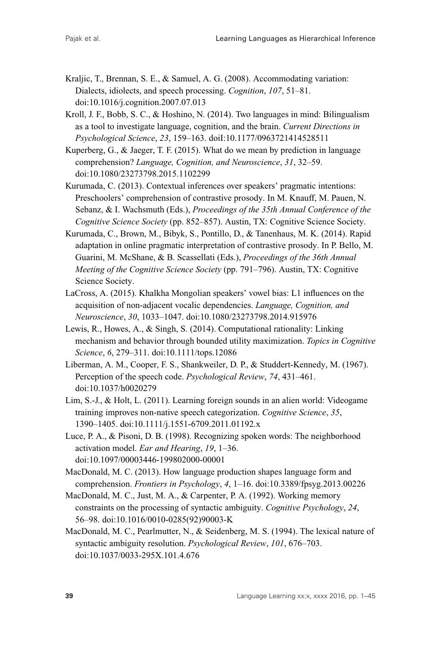- Kraljic, T., Brennan, S. E., & Samuel, A. G. (2008). Accommodating variation: Dialects, idiolects, and speech processing. *Cognition*, *107*, 51–81. doi:10.1016/j.cognition.2007.07.013
- Kroll, J. F., Bobb, S. C., & Hoshino, N. (2014). Two languages in mind: Bilingualism as a tool to investigate language, cognition, and the brain. *Current Directions in Psychological Science*, *23*, 159–163. doiI:10.1177/0963721414528511
- Kuperberg, G., & Jaeger, T. F. (2015). What do we mean by prediction in language comprehension? *Language, Cognition, and Neuroscience*, *31*, 32–59. doi:10.1080/23273798.2015.1102299
- Kurumada, C. (2013). Contextual inferences over speakers' pragmatic intentions: Preschoolers' comprehension of contrastive prosody. In M. Knauff, M. Pauen, N. Sebanz, & I. Wachsmuth (Eds.), *Proceedings of the 35th Annual Conference of the Cognitive Science Society* (pp. 852–857). Austin, TX: Cognitive Science Society.
- Kurumada, C., Brown, M., Bibyk, S., Pontillo, D., & Tanenhaus, M. K. (2014). Rapid adaptation in online pragmatic interpretation of contrastive prosody. In P. Bello, M. Guarini, M. McShane, & B. Scassellati (Eds.), *Proceedings of the 36th Annual Meeting of the Cognitive Science Society* (pp. 791–796). Austin, TX: Cognitive Science Society.
- LaCross, A. (2015). Khalkha Mongolian speakers' vowel bias: L1 influences on the acquisition of non-adjacent vocalic dependencies. *Language, Cognition, and Neuroscience*, *30*, 1033–1047. doi:10.1080/23273798.2014.915976
- Lewis, R., Howes, A., & Singh, S. (2014). Computational rationality: Linking mechanism and behavior through bounded utility maximization. *Topics in Cognitive Science*, *6*, 279–311. doi:10.1111/tops.12086
- Liberman, A. M., Cooper, F. S., Shankweiler, D. P., & Studdert-Kennedy, M. (1967). Perception of the speech code. *Psychological Review*, *74*, 431–461. doi:10.1037/h0020279
- Lim, S.-J., & Holt, L. (2011). Learning foreign sounds in an alien world: Videogame training improves non-native speech categorization. *Cognitive Science*, *35*, 1390–1405. doi:10.1111/j.1551-6709.2011.01192.x
- Luce, P. A., & Pisoni, D. B. (1998). Recognizing spoken words: The neighborhood activation model. *Ear and Hearing*, *19*, 1–36. doi:10.1097/00003446-199802000-00001
- MacDonald, M. C. (2013). How language production shapes language form and comprehension. *Frontiers in Psychology*, *4*, 1–16. doi:10.3389/fpsyg.2013.00226
- MacDonald, M. C., Just, M. A., & Carpenter, P. A. (1992). Working memory constraints on the processing of syntactic ambiguity. *Cognitive Psychology*, *24*, 56–98. doi:10.1016/0010-0285(92)90003-K
- MacDonald, M. C., Pearlmutter, N., & Seidenberg, M. S. (1994). The lexical nature of syntactic ambiguity resolution. *Psychological Review*, *101*, 676–703. doi:10.1037/0033-295X.101.4.676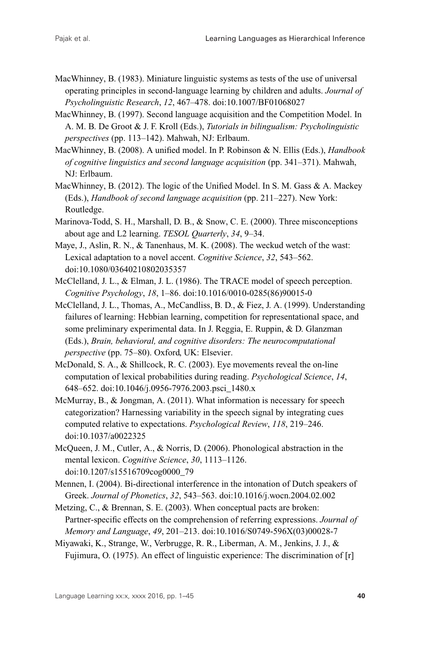- MacWhinney, B. (1983). Miniature linguistic systems as tests of the use of universal operating principles in second-language learning by children and adults. *Journal of Psycholinguistic Research*, *12*, 467–478. doi:10.1007/BF01068027
- MacWhinney, B. (1997). Second language acquisition and the Competition Model. In A. M. B. De Groot & J. F. Kroll (Eds.), *Tutorials in bilingualism: Psycholinguistic perspectives* (pp. 113–142). Mahwah, NJ: Erlbaum.
- MacWhinney, B. (2008). A unified model. In P. Robinson & N. Ellis (Eds.), *Handbook of cognitive linguistics and second language acquisition* (pp. 341–371). Mahwah, NJ: Erlbaum.
- MacWhinney, B. (2012). The logic of the Unified Model. In S. M. Gass & A. Mackey (Eds.), *Handbook of second language acquisition* (pp. 211–227). New York: Routledge.
- Marinova-Todd, S. H., Marshall, D. B., & Snow, C. E. (2000). Three misconceptions about age and L2 learning. *TESOL Quarterly*, *34*, 9–34.
- Maye, J., Aslin, R. N., & Tanenhaus, M. K. (2008). The weckud wetch of the wast: Lexical adaptation to a novel accent. *Cognitive Science*, *32*, 543–562. doi:10.1080/03640210802035357
- McClelland, J. L., & Elman, J. L. (1986). The TRACE model of speech perception. *Cognitive Psychology*, *18*, 1–86. doi:10.1016/0010-0285(86)90015-0
- McClelland, J. L., Thomas, A., McCandliss, B. D., & Fiez, J. A. (1999). Understanding failures of learning: Hebbian learning, competition for representational space, and some preliminary experimental data. In J. Reggia, E. Ruppin, & D. Glanzman (Eds.), *Brain, behavioral, and cognitive disorders: The neurocomputational perspective* (pp. 75–80). Oxford, UK: Elsevier.
- McDonald, S. A., & Shillcock, R. C. (2003). Eye movements reveal the on-line computation of lexical probabilities during reading. *Psychological Science*, *14*, 648–652. doi:10.1046/j.0956-7976.2003.psci\_1480.x
- McMurray, B., & Jongman, A. (2011). What information is necessary for speech categorization? Harnessing variability in the speech signal by integrating cues computed relative to expectations. *Psychological Review*, *118*, 219–246. doi:10.1037/a0022325
- McQueen, J. M., Cutler, A., & Norris, D. (2006). Phonological abstraction in the mental lexicon. *Cognitive Science*, *30*, 1113–1126. doi:10.1207/s15516709cog0000\_79
- Mennen, I. (2004). Bi-directional interference in the intonation of Dutch speakers of Greek. *Journal of Phonetics*, *32*, 543–563. doi:10.1016/j.wocn.2004.02.002
- Metzing, C., & Brennan, S. E. (2003). When conceptual pacts are broken: Partner-specific effects on the comprehension of referring expressions. *Journal of Memory and Language*, *49*, 201–213. doi:10.1016/S0749-596X(03)00028-7
- Miyawaki, K., Strange, W., Verbrugge, R. R., Liberman, A. M., Jenkins, J. J., & Fujimura, O. (1975). An effect of linguistic experience: The discrimination of [r]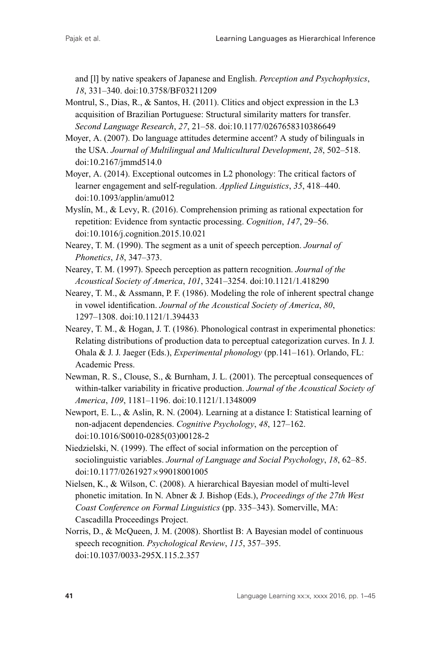and [l] by native speakers of Japanese and English. *Perception and Psychophysics*, *18*, 331–340. doi:10.3758/BF03211209

- Montrul, S., Dias, R., & Santos, H. (2011). Clitics and object expression in the L3 acquisition of Brazilian Portuguese: Structural similarity matters for transfer. *Second Language Research*, *27*, 21–58. doi:10.1177/0267658310386649
- Moyer, A. (2007). Do language attitudes determine accent? A study of bilinguals in the USA. *Journal of Multilingual and Multicultural Development*, *28*, 502–518. doi:10.2167/jmmd514.0
- Moyer, A. (2014). Exceptional outcomes in L2 phonology: The critical factors of learner engagement and self-regulation. *Applied Linguistics*, *35*, 418–440. doi:10.1093/applin/amu012
- Myslín, M., & Levy, R. (2016). Comprehension priming as rational expectation for repetition: Evidence from syntactic processing. *Cognition*, *147*, 29–56. doi:10.1016/j.cognition.2015.10.021
- Nearey, T. M. (1990). The segment as a unit of speech perception. *Journal of Phonetics*, *18*, 347–373.
- Nearey, T. M. (1997). Speech perception as pattern recognition. *Journal of the Acoustical Society of America*, *101*, 3241–3254. doi:10.1121/1.418290
- Nearey, T. M., & Assmann, P. F. (1986). Modeling the role of inherent spectral change in vowel identification. *Journal of the Acoustical Society of America*, *80*, 1297–1308. doi:10.1121/1.394433
- Nearey, T. M., & Hogan, J. T. (1986). Phonological contrast in experimental phonetics: Relating distributions of production data to perceptual categorization curves. In J. J. Ohala & J. J. Jaeger (Eds.), *Experimental phonology* (pp.141–161). Orlando, FL: Academic Press.
- Newman, R. S., Clouse, S., & Burnham, J. L. (2001). The perceptual consequences of within-talker variability in fricative production. *Journal of the Acoustical Society of America*, *109*, 1181–1196. doi:10.1121/1.1348009
- Newport, E. L., & Aslin, R. N. (2004). Learning at a distance I: Statistical learning of non-adjacent dependencies. *Cognitive Psychology*, *48*, 127–162. doi:10.1016/S0010-0285(03)00128-2
- Niedzielski, N. (1999). The effect of social information on the perception of sociolinguistic variables. *Journal of Language and Social Psychology*, *18*, 62–85. doi:10.1177/0261927×99018001005
- Nielsen, K., & Wilson, C. (2008). A hierarchical Bayesian model of multi-level phonetic imitation. In N. Abner & J. Bishop (Eds.), *Proceedings of the 27th West Coast Conference on Formal Linguistics* (pp. 335–343). Somerville, MA: Cascadilla Proceedings Project.
- Norris, D., & McQueen, J. M. (2008). Shortlist B: A Bayesian model of continuous speech recognition. *Psychological Review*, *115*, 357–395. doi:10.1037/0033-295X.115.2.357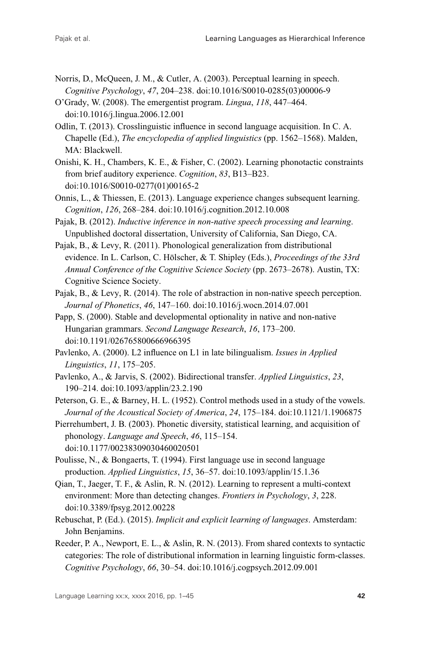- Norris, D., McQueen, J. M., & Cutler, A. (2003). Perceptual learning in speech. *Cognitive Psychology*, *47*, 204–238. doi:10.1016/S0010-0285(03)00006-9
- O'Grady, W. (2008). The emergentist program. *Lingua*, *118*, 447–464. doi:10.1016/j.lingua.2006.12.001
- Odlin, T. (2013). Crosslinguistic influence in second language acquisition. In C. A. Chapelle (Ed.), *The encyclopedia of applied linguistics* (pp. 1562–1568). Malden, MA: Blackwell.
- Onishi, K. H., Chambers, K. E., & Fisher, C. (2002). Learning phonotactic constraints from brief auditory experience. *Cognition*, *83*, B13–B23. doi:10.1016/S0010-0277(01)00165-2
- Onnis, L., & Thiessen, E. (2013). Language experience changes subsequent learning. *Cognition*, *126*, 268–284. doi:10.1016/j.cognition.2012.10.008
- Pajak, B. (2012). *Inductive inference in non-native speech processing and learning*. Unpublished doctoral dissertation, University of California, San Diego, CA.
- Pajak, B., & Levy, R. (2011). Phonological generalization from distributional evidence. In L. Carlson, C. Hölscher, & T. Shipley (Eds.), *Proceedings of the 33rd Annual Conference of the Cognitive Science Society* (pp. 2673–2678). Austin, TX: Cognitive Science Society.
- Pajak, B., & Levy, R. (2014). The role of abstraction in non-native speech perception. *Journal of Phonetics*, *46*, 147–160. doi:10.1016/j.wocn.2014.07.001
- Papp, S. (2000). Stable and developmental optionality in native and non-native Hungarian grammars. *Second Language Research*, *16*, 173–200. doi:10.1191/026765800666966395
- Pavlenko, A. (2000). L2 influence on L1 in late bilingualism. *Issues in Applied Linguistics*, *11*, 175–205.
- Pavlenko, A., & Jarvis, S. (2002). Bidirectional transfer. *Applied Linguistics*, *23*, 190–214. doi:10.1093/applin/23.2.190
- Peterson, G. E., & Barney, H. L. (1952). Control methods used in a study of the vowels. *Journal of the Acoustical Society of America*, *24*, 175–184. doi:10.1121/1.1906875
- Pierrehumbert, J. B. (2003). Phonetic diversity, statistical learning, and acquisition of phonology. *Language and Speech*, *46*, 115–154. doi:10.1177/00238309030460020501
- Poulisse, N., & Bongaerts, T. (1994). First language use in second language production. *Applied Linguistics*, *15*, 36–57. doi:10.1093/applin/15.1.36
- Qian, T., Jaeger, T. F., & Aslin, R. N. (2012). Learning to represent a multi-context environment: More than detecting changes. *Frontiers in Psychology*, *3*, 228. doi:10.3389/fpsyg.2012.00228
- Rebuschat, P. (Ed.). (2015). *Implicit and explicit learning of languages*. Amsterdam: John Benjamins.
- Reeder, P. A., Newport, E. L., & Aslin, R. N. (2013). From shared contexts to syntactic categories: The role of distributional information in learning linguistic form-classes. *Cognitive Psychology*, *66*, 30–54. doi:10.1016/j.cogpsych.2012.09.001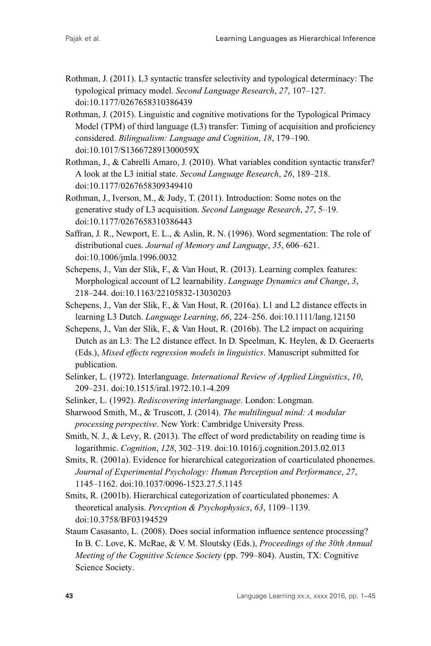- Rothman, J. (2011). L3 syntactic transfer selectivity and typological determinacy: The typological primacy model. *Second Language Research*, *27*, 107–127. doi:10.1177/0267658310386439
- Rothman, J. (2015). Linguistic and cognitive motivations for the Typological Primacy Model (TPM) of third language (L3) transfer: Timing of acquisition and proficiency considered. *Bilingualism: Language and Cognition*, *18*, 179–190. doi:10.1017/S136672891300059X
- Rothman, J., & Cabrelli Amaro, J. (2010). What variables condition syntactic transfer? A look at the L3 initial state. *Second Language Research*, *26*, 189–218. doi:10.1177/0267658309349410
- Rothman, J., Iverson, M., & Judy, T. (2011). Introduction: Some notes on the generative study of L3 acquisition. *Second Language Research*, *27*, 5–19. doi:10.1177/0267658310386443
- Saffran, J. R., Newport, E. L., & Aslin, R. N. (1996). Word segmentation: The role of distributional cues. *Journal of Memory and Language*, *35*, 606–621. doi:10.1006/jmla.1996.0032
- Schepens, J., Van der Slik, F., & Van Hout, R. (2013). Learning complex features: Morphological account of L2 learnability. *Language Dynamics and Change*, *3*, 218–244. doi:10.1163/22105832-13030203
- Schepens, J., Van der Slik, F., & Van Hout, R. (2016a). L1 and L2 distance effects in learning L3 Dutch. *Language Learning*, *66*, 224–256. doi:10.1111/lang.12150
- Schepens, J., Van der Slik, F., & Van Hout, R. (2016b). The L2 impact on acquiring Dutch as an L3: The L2 distance effect. In D. Speelman, K. Heylen, & D. Geeraerts (Eds.), *Mixed effects regression models in linguistics*. Manuscript submitted for publication.
- Selinker, L. (1972). Interlanguage. *International Review of Applied Linguistics*, *10*, 209–231. doi:10.1515/iral.1972.10.1-4.209
- Selinker, L. (1992). *Rediscovering interlanguage*. London: Longman.
- Sharwood Smith, M., & Truscott, J. (2014). *The multilingual mind: A modular processing perspective*. New York: Cambridge University Press.
- Smith, N. J., & Levy, R. (2013). The effect of word predictability on reading time is logarithmic. *Cognition*, *128*, 302–319. doi:10.1016/j.cognition.2013.02.013
- Smits, R. (2001a). Evidence for hierarchical categorization of coarticulated phonemes. *Journal of Experimental Psychology: Human Perception and Performance*, *27*, 1145–1162. doi:10.1037/0096-1523.27.5.1145
- Smits, R. (2001b). Hierarchical categorization of coarticulated phonemes: A theoretical analysis. *Perception & Psychophysics*, *63*, 1109–1139. doi:10.3758/BF03194529
- Staum Casasanto, L. (2008). Does social information influence sentence processing? In B. C. Love, K. McRae, & V. M. Sloutsky (Eds.), *Proceedings of the 30th Annual Meeting of the Cognitive Science Society* (pp. 799–804). Austin, TX: Cognitive Science Society.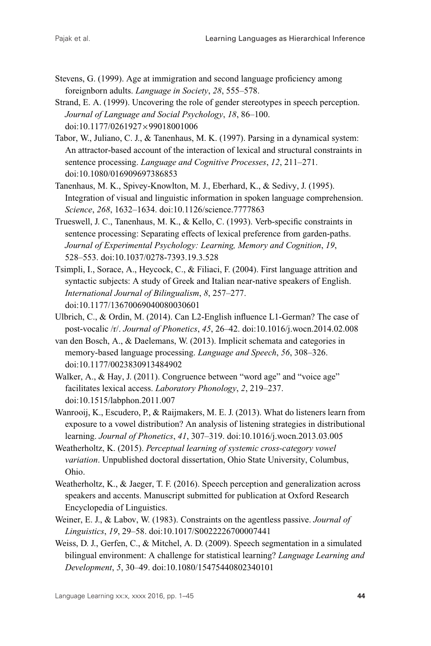- Stevens, G. (1999). Age at immigration and second language proficiency among foreignborn adults. *Language in Society*, *28*, 555–578.
- Strand, E. A. (1999). Uncovering the role of gender stereotypes in speech perception. *Journal of Language and Social Psychology*, *18*, 86–100. doi:10.1177/0261927×99018001006
- Tabor, W., Juliano, C. J., & Tanenhaus, M. K. (1997). Parsing in a dynamical system: An attractor-based account of the interaction of lexical and structural constraints in sentence processing. *Language and Cognitive Processes*, *12*, 211–271. doi:10.1080/016909697386853
- Tanenhaus, M. K., Spivey-Knowlton, M. J., Eberhard, K., & Sedivy, J. (1995). Integration of visual and linguistic information in spoken language comprehension. *Science*, *268*, 1632–1634. doi:10.1126/science.7777863
- Trueswell, J. C., Tanenhaus, M. K., & Kello, C. (1993). Verb-specific constraints in sentence processing: Separating effects of lexical preference from garden-paths. *Journal of Experimental Psychology: Learning, Memory and Cognition*, *19*, 528–553. doi:10.1037/0278-7393.19.3.528
- Tsimpli, I., Sorace, A., Heycock, C., & Filiaci, F. (2004). First language attrition and syntactic subjects: A study of Greek and Italian near-native speakers of English. *International Journal of Bilingualism*, *8*, 257–277. doi:10.1177/13670069040080030601
- Ulbrich, C., & Ordin, M. (2014). Can L2-English influence L1-German? The case of post-vocalic /r/. *Journal of Phonetics*, *45*, 26–42. doi:10.1016/j.wocn.2014.02.008
- van den Bosch, A., & Daelemans, W. (2013). Implicit schemata and categories in memory-based language processing. *Language and Speech*, *56*, 308–326. doi:10.1177/0023830913484902
- Walker, A., & Hay, J. (2011). Congruence between "word age" and "voice age" facilitates lexical access. *Laboratory Phonology*, *2*, 219–237. doi:10.1515/labphon.2011.007
- Wanrooij, K., Escudero, P., & Raijmakers, M. E. J. (2013). What do listeners learn from exposure to a vowel distribution? An analysis of listening strategies in distributional learning. *Journal of Phonetics*, *41*, 307–319. doi:10.1016/j.wocn.2013.03.005
- Weatherholtz, K. (2015). *Perceptual learning of systemic cross-category vowel variation*. Unpublished doctoral dissertation, Ohio State University, Columbus, Ohio.
- Weatherholtz, K., & Jaeger, T. F. (2016). Speech perception and generalization across speakers and accents. Manuscript submitted for publication at Oxford Research Encyclopedia of Linguistics.
- Weiner, E. J., & Labov, W. (1983). Constraints on the agentless passive. *Journal of Linguistics*, *19*, 29–58. doi:10.1017/S0022226700007441
- Weiss, D. J., Gerfen, C., & Mitchel, A. D. (2009). Speech segmentation in a simulated bilingual environment: A challenge for statistical learning? *Language Learning and Development*, *5*, 30–49. doi:10.1080/15475440802340101